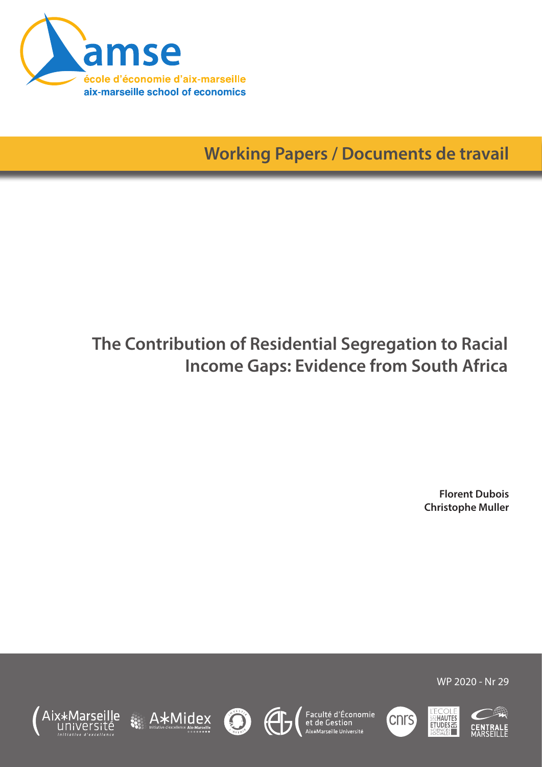

**Working Papers / Documents de travail**

## **The Contribution of Residential Segregation to Racial Income Gaps: Evidence from South Africa**

**Florent Dubois Christophe Muller**













WP 2020 - Nr 29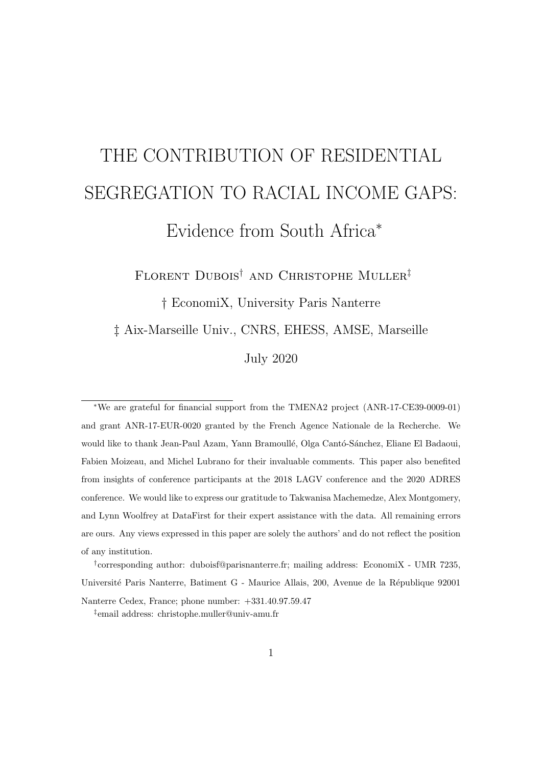# <span id="page-1-0"></span>THE CONTRIBUTION OF RESIDENTIAL SEGREGATION TO RACIAL INCOME GAPS: Evidence from South Africa<sup>∗</sup>

Florent Dubois† and Christophe Muller‡

† EconomiX, University Paris Nanterre

‡ Aix-Marseille Univ., CNRS, EHESS, AMSE, Marseille

July 2020

<sup>∗</sup>We are grateful for financial support from the TMENA2 project (ANR-17-CE39-0009-01) and grant ANR-17-EUR-0020 granted by the French Agence Nationale de la Recherche. We would like to thank Jean-Paul Azam, Yann Bramoullé, Olga Cantó-Sánchez, Eliane El Badaoui, Fabien Moizeau, and Michel Lubrano for their invaluable comments. This paper also benefited from insights of conference participants at the 2018 LAGV conference and the 2020 ADRES conference. We would like to express our gratitude to Takwanisa Machemedze, Alex Montgomery, and Lynn Woolfrey at DataFirst for their expert assistance with the data. All remaining errors are ours. Any views expressed in this paper are solely the authors' and do not reflect the position of any institution.

† corresponding author: duboisf@parisnanterre.fr; mailing address: EconomiX - UMR 7235, Université Paris Nanterre, Batiment G - Maurice Allais, 200, Avenue de la République 92001 Nanterre Cedex, France; phone number: +331.40.97.59.47 ‡ email address: christophe.muller@univ-amu.fr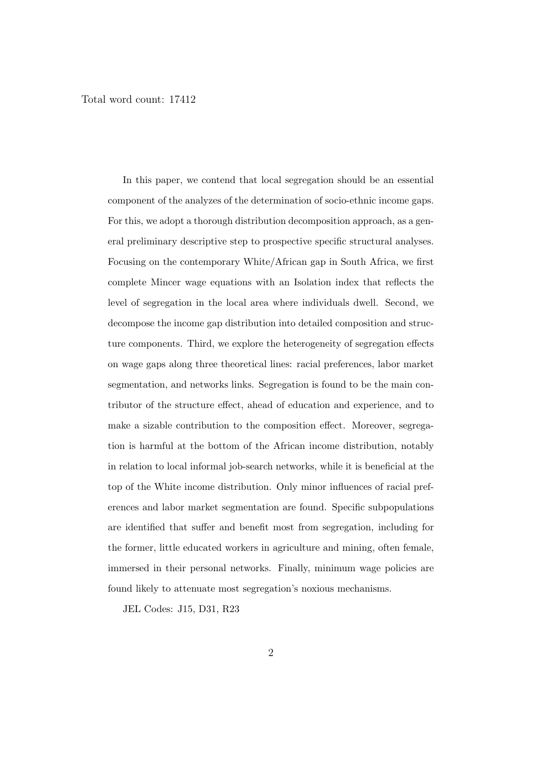In this paper, we contend that local segregation should be an essential component of the analyzes of the determination of socio-ethnic income gaps. For this, we adopt a thorough distribution decomposition approach, as a general preliminary descriptive step to prospective specific structural analyses. Focusing on the contemporary White/African gap in South Africa, we first complete Mincer wage equations with an Isolation index that reflects the level of segregation in the local area where individuals dwell. Second, we decompose the income gap distribution into detailed composition and structure components. Third, we explore the heterogeneity of segregation effects on wage gaps along three theoretical lines: racial preferences, labor market segmentation, and networks links. Segregation is found to be the main contributor of the structure effect, ahead of education and experience, and to make a sizable contribution to the composition effect. Moreover, segregation is harmful at the bottom of the African income distribution, notably in relation to local informal job-search networks, while it is beneficial at the top of the White income distribution. Only minor influences of racial preferences and labor market segmentation are found. Specific subpopulations are identified that suffer and benefit most from segregation, including for the former, little educated workers in agriculture and mining, often female, immersed in their personal networks. Finally, minimum wage policies are found likely to attenuate most segregation's noxious mechanisms.

JEL Codes: J15, D31, R23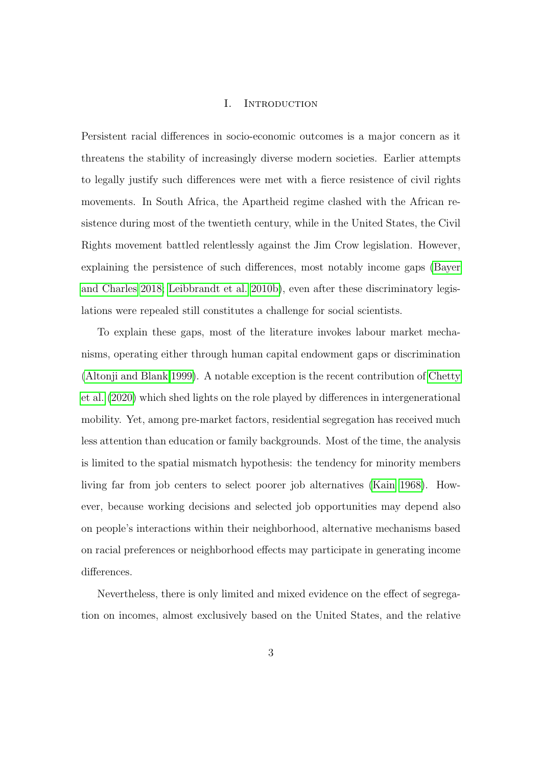#### I. INTRODUCTION

Persistent racial differences in socio-economic outcomes is a major concern as it threatens the stability of increasingly diverse modern societies. Earlier attempts to legally justify such differences were met with a fierce resistence of civil rights movements. In South Africa, the Apartheid regime clashed with the African resistence during most of the twentieth century, while in the United States, the Civil Rights movement battled relentlessly against the Jim Crow legislation. However, explaining the persistence of such differences, most notably income gaps [\(Bayer](#page-52-0) [and Charles 2018;](#page-52-0) [Leibbrandt et al. 2010b\)](#page-56-0), even after these discriminatory legislations were repealed still constitutes a challenge for social scientists.

To explain these gaps, most of the literature invokes labour market mechanisms, operating either through human capital endowment gaps or discrimination [\(Altonji and Blank 1999\)](#page-52-1). A notable exception is the recent contribution of [Chetty](#page-53-0) [et al.](#page-53-0) [\(2020\)](#page-53-0) which shed lights on the role played by differences in intergenerational mobility. Yet, among pre-market factors, residential segregation has received much less attention than education or family backgrounds. Most of the time, the analysis is limited to the spatial mismatch hypothesis: the tendency for minority members living far from job centers to select poorer job alternatives [\(Kain 1968\)](#page-55-0). However, because working decisions and selected job opportunities may depend also on people's interactions within their neighborhood, alternative mechanisms based on racial preferences or neighborhood effects may participate in generating income differences.

Nevertheless, there is only limited and mixed evidence on the effect of segregation on incomes, almost exclusively based on the United States, and the relative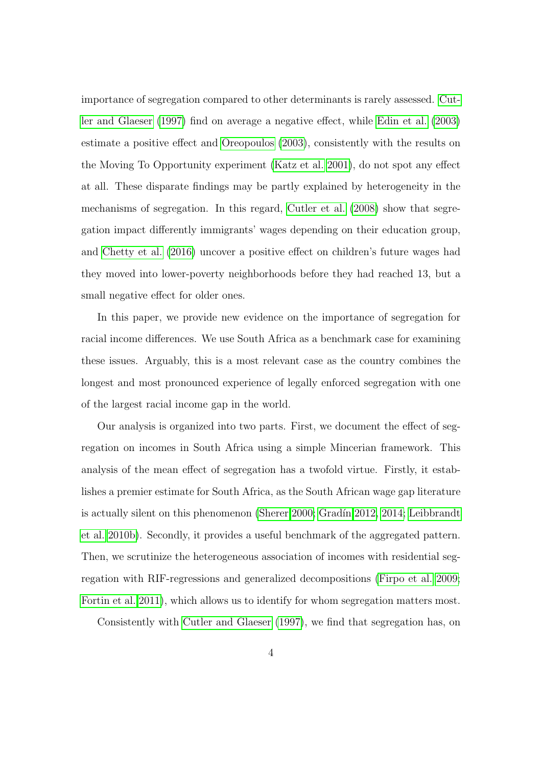importance of segregation compared to other determinants is rarely assessed. [Cut](#page-54-0)[ler and Glaeser](#page-54-0) [\(1997\)](#page-54-0) find on average a negative effect, while [Edin et al.](#page-54-1) [\(2003\)](#page-54-1) estimate a positive effect and [Oreopoulos](#page-57-0) [\(2003\)](#page-57-0), consistently with the results on the Moving To Opportunity experiment [\(Katz et al. 2001\)](#page-56-1), do not spot any effect at all. These disparate findings may be partly explained by heterogeneity in the mechanisms of segregation. In this regard, [Cutler et al.](#page-54-2) [\(2008\)](#page-54-2) show that segregation impact differently immigrants' wages depending on their education group, and [Chetty et al.](#page-53-1) [\(2016\)](#page-53-1) uncover a positive effect on children's future wages had they moved into lower-poverty neighborhoods before they had reached 13, but a small negative effect for older ones.

In this paper, we provide new evidence on the importance of segregation for racial income differences. We use South Africa as a benchmark case for examining these issues. Arguably, this is a most relevant case as the country combines the longest and most pronounced experience of legally enforced segregation with one of the largest racial income gap in the world.

Our analysis is organized into two parts. First, we document the effect of segregation on incomes in South Africa using a simple Mincerian framework. This analysis of the mean effect of segregation has a twofold virtue. Firstly, it establishes a premier estimate for South Africa, as the South African wage gap literature is actually silent on this phenomenon [\(Sherer 2000;](#page-58-0) Gradín 2012, [2014;](#page-55-2) [Leibbrandt](#page-56-0) [et al. 2010b\)](#page-56-0). Secondly, it provides a useful benchmark of the aggregated pattern. Then, we scrutinize the heterogeneous association of incomes with residential segregation with RIF-regressions and generalized decompositions [\(Firpo et al. 2009;](#page-55-3) [Fortin et al. 2011\)](#page-55-4), which allows us to identify for whom segregation matters most.

Consistently with [Cutler and Glaeser](#page-54-0) [\(1997\)](#page-54-0), we find that segregation has, on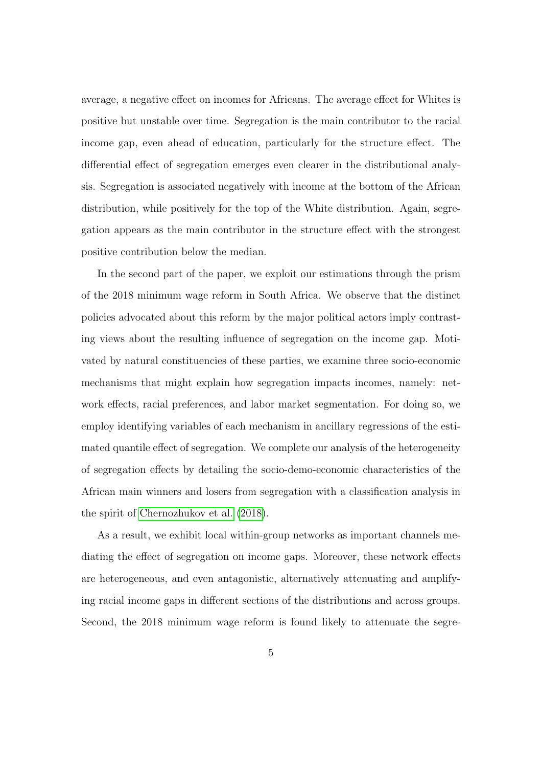average, a negative effect on incomes for Africans. The average effect for Whites is positive but unstable over time. Segregation is the main contributor to the racial income gap, even ahead of education, particularly for the structure effect. The differential effect of segregation emerges even clearer in the distributional analysis. Segregation is associated negatively with income at the bottom of the African distribution, while positively for the top of the White distribution. Again, segregation appears as the main contributor in the structure effect with the strongest positive contribution below the median.

In the second part of the paper, we exploit our estimations through the prism of the 2018 minimum wage reform in South Africa. We observe that the distinct policies advocated about this reform by the major political actors imply contrasting views about the resulting influence of segregation on the income gap. Motivated by natural constituencies of these parties, we examine three socio-economic mechanisms that might explain how segregation impacts incomes, namely: network effects, racial preferences, and labor market segmentation. For doing so, we employ identifying variables of each mechanism in ancillary regressions of the estimated quantile effect of segregation. We complete our analysis of the heterogeneity of segregation effects by detailing the socio-demo-economic characteristics of the African main winners and losers from segregation with a classification analysis in the spirit of [Chernozhukov et al.](#page-53-2) [\(2018\)](#page-53-2).

As a result, we exhibit local within-group networks as important channels mediating the effect of segregation on income gaps. Moreover, these network effects are heterogeneous, and even antagonistic, alternatively attenuating and amplifying racial income gaps in different sections of the distributions and across groups. Second, the 2018 minimum wage reform is found likely to attenuate the segre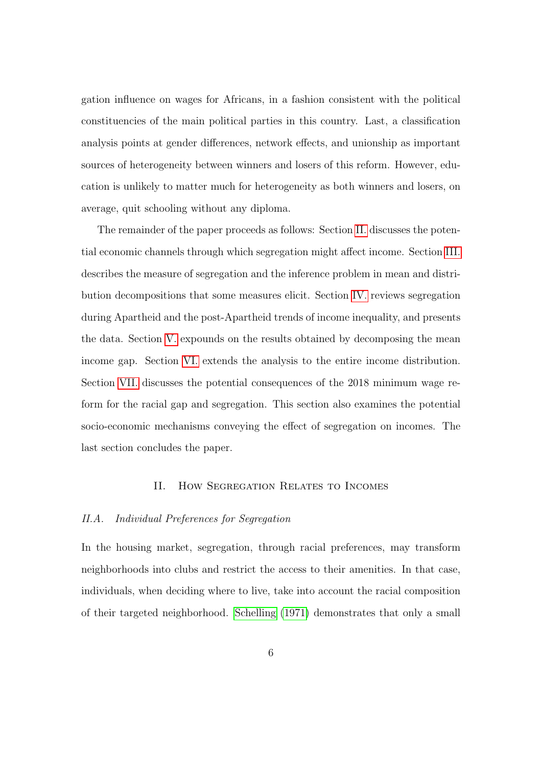gation influence on wages for Africans, in a fashion consistent with the political constituencies of the main political parties in this country. Last, a classification analysis points at gender differences, network effects, and unionship as important sources of heterogeneity between winners and losers of this reform. However, education is unlikely to matter much for heterogeneity as both winners and losers, on average, quit schooling without any diploma.

The remainder of the paper proceeds as follows: Section [II.](#page-6-0) discusses the potential economic channels through which segregation might affect income. Section [III.](#page-9-0) describes the measure of segregation and the inference problem in mean and distribution decompositions that some measures elicit. Section [IV.](#page-18-0) reviews segregation during Apartheid and the post-Apartheid trends of income inequality, and presents the data. Section [V.](#page-22-0) expounds on the results obtained by decomposing the mean income gap. Section [VI.](#page-26-0) extends the analysis to the entire income distribution. Section [VII.](#page-33-0) discusses the potential consequences of the 2018 minimum wage reform for the racial gap and segregation. This section also examines the potential socio-economic mechanisms conveying the effect of segregation on incomes. The last section concludes the paper.

#### II. How Segregation Relates to Incomes

#### <span id="page-6-0"></span>II.A. Individual Preferences for Segregation

In the housing market, segregation, through racial preferences, may transform neighborhoods into clubs and restrict the access to their amenities. In that case, individuals, when deciding where to live, take into account the racial composition of their targeted neighborhood. [Schelling](#page-57-1) [\(1971\)](#page-57-1) demonstrates that only a small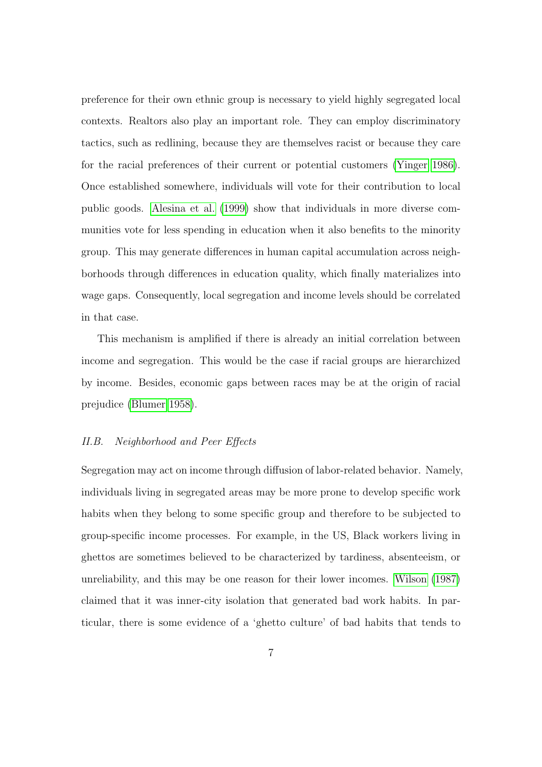preference for their own ethnic group is necessary to yield highly segregated local contexts. Realtors also play an important role. They can employ discriminatory tactics, such as redlining, because they are themselves racist or because they care for the racial preferences of their current or potential customers [\(Yinger 1986\)](#page-58-1). Once established somewhere, individuals will vote for their contribution to local public goods. [Alesina et al.](#page-52-2) [\(1999\)](#page-52-2) show that individuals in more diverse communities vote for less spending in education when it also benefits to the minority group. This may generate differences in human capital accumulation across neighborhoods through differences in education quality, which finally materializes into wage gaps. Consequently, local segregation and income levels should be correlated in that case.

This mechanism is amplified if there is already an initial correlation between income and segregation. This would be the case if racial groups are hierarchized by income. Besides, economic gaps between races may be at the origin of racial prejudice [\(Blumer 1958\)](#page-53-3).

#### II.B. Neighborhood and Peer Effects

Segregation may act on income through diffusion of labor-related behavior. Namely, individuals living in segregated areas may be more prone to develop specific work habits when they belong to some specific group and therefore to be subjected to group-specific income processes. For example, in the US, Black workers living in ghettos are sometimes believed to be characterized by tardiness, absenteeism, or unreliability, and this may be one reason for their lower incomes. [Wilson](#page-58-2) [\(1987\)](#page-58-2) claimed that it was inner-city isolation that generated bad work habits. In particular, there is some evidence of a 'ghetto culture' of bad habits that tends to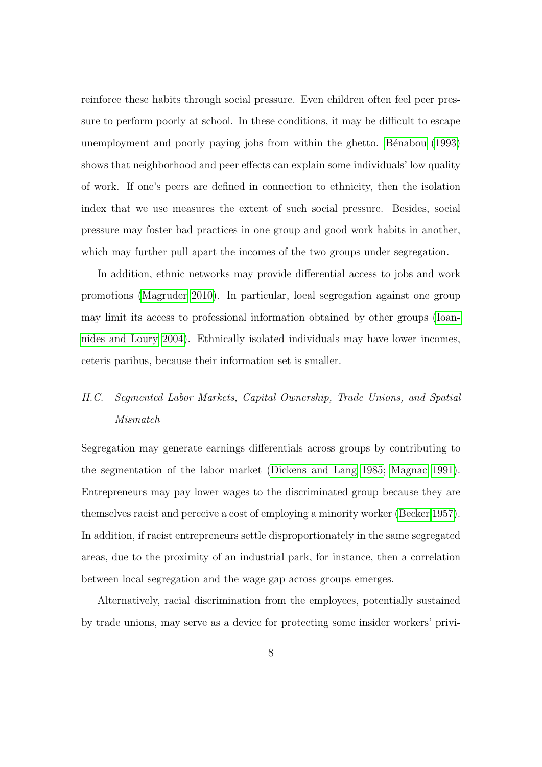reinforce these habits through social pressure. Even children often feel peer pressure to perform poorly at school. In these conditions, it may be difficult to escape unemployment and poorly paying jobs from within the ghetto. Bénabou [\(1993\)](#page-53-4) shows that neighborhood and peer effects can explain some individuals' low quality of work. If one's peers are defined in connection to ethnicity, then the isolation index that we use measures the extent of such social pressure. Besides, social pressure may foster bad practices in one group and good work habits in another, which may further pull apart the incomes of the two groups under segregation.

In addition, ethnic networks may provide differential access to jobs and work promotions [\(Magruder 2010\)](#page-56-2). In particular, local segregation against one group may limit its access to professional information obtained by other groups [\(Ioan](#page-55-5)[nides and Loury 2004\)](#page-55-5). Ethnically isolated individuals may have lower incomes, ceteris paribus, because their information set is smaller.

## II.C. Segmented Labor Markets, Capital Ownership, Trade Unions, and Spatial Mismatch

Segregation may generate earnings differentials across groups by contributing to the segmentation of the labor market [\(Dickens and Lang 1985;](#page-54-3) [Magnac 1991\)](#page-56-3). Entrepreneurs may pay lower wages to the discriminated group because they are themselves racist and perceive a cost of employing a minority worker [\(Becker 1957\)](#page-52-3). In addition, if racist entrepreneurs settle disproportionately in the same segregated areas, due to the proximity of an industrial park, for instance, then a correlation between local segregation and the wage gap across groups emerges.

Alternatively, racial discrimination from the employees, potentially sustained by trade unions, may serve as a device for protecting some insider workers' privi-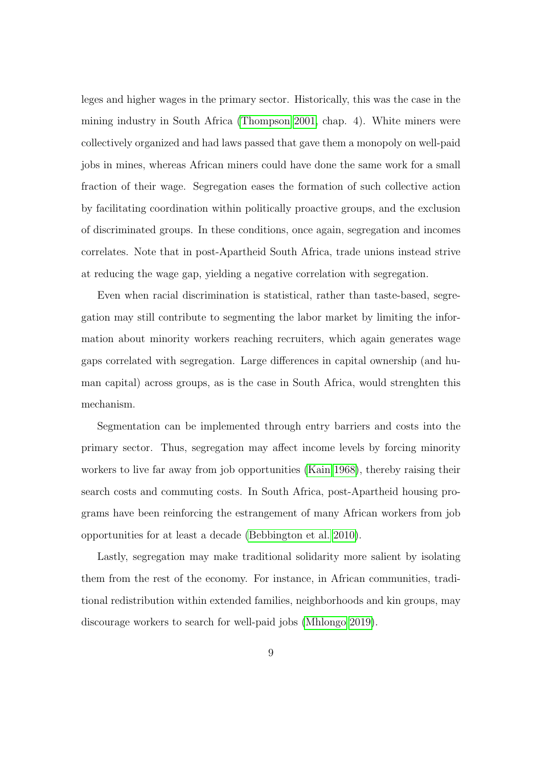leges and higher wages in the primary sector. Historically, this was the case in the mining industry in South Africa [\(Thompson 2001,](#page-58-3) chap. 4). White miners were collectively organized and had laws passed that gave them a monopoly on well-paid jobs in mines, whereas African miners could have done the same work for a small fraction of their wage. Segregation eases the formation of such collective action by facilitating coordination within politically proactive groups, and the exclusion of discriminated groups. In these conditions, once again, segregation and incomes correlates. Note that in post-Apartheid South Africa, trade unions instead strive at reducing the wage gap, yielding a negative correlation with segregation.

Even when racial discrimination is statistical, rather than taste-based, segregation may still contribute to segmenting the labor market by limiting the information about minority workers reaching recruiters, which again generates wage gaps correlated with segregation. Large differences in capital ownership (and human capital) across groups, as is the case in South Africa, would strenghten this mechanism.

Segmentation can be implemented through entry barriers and costs into the primary sector. Thus, segregation may affect income levels by forcing minority workers to live far away from job opportunities [\(Kain 1968\)](#page-55-0), thereby raising their search costs and commuting costs. In South Africa, post-Apartheid housing programs have been reinforcing the estrangement of many African workers from job opportunities for at least a decade [\(Bebbington et al. 2010\)](#page-52-4).

<span id="page-9-0"></span>Lastly, segregation may make traditional solidarity more salient by isolating them from the rest of the economy. For instance, in African communities, traditional redistribution within extended families, neighborhoods and kin groups, may discourage workers to search for well-paid jobs [\(Mhlongo 2019\)](#page-57-2).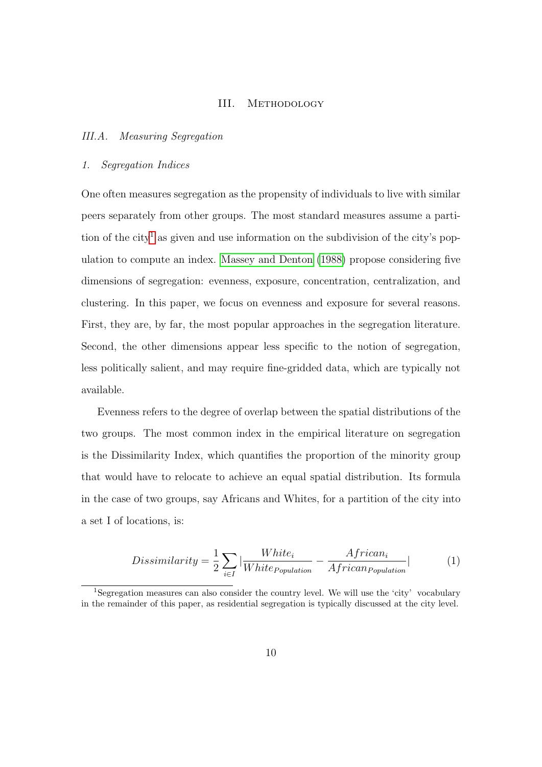#### III. Methodology

#### III.A. Measuring Segregation

#### 1. Segregation Indices

One often measures segregation as the propensity of individuals to live with similar peers separately from other groups. The most standard measures assume a parti-tion of the city<sup>[1](#page-1-0)</sup> as given and use information on the subdivision of the city's population to compute an index. [Massey and Denton](#page-56-4) [\(1988\)](#page-56-4) propose considering five dimensions of segregation: evenness, exposure, concentration, centralization, and clustering. In this paper, we focus on evenness and exposure for several reasons. First, they are, by far, the most popular approaches in the segregation literature. Second, the other dimensions appear less specific to the notion of segregation, less politically salient, and may require fine-gridded data, which are typically not available.

Evenness refers to the degree of overlap between the spatial distributions of the two groups. The most common index in the empirical literature on segregation is the Dissimilarity Index, which quantifies the proportion of the minority group that would have to relocate to achieve an equal spatial distribution. Its formula in the case of two groups, say Africans and Whites, for a partition of the city into a set I of locations, is:

$$
Dissimilarity = \frac{1}{2} \sum_{i \in I} \left| \frac{White_i}{White_{Population}} - \frac{African_i}{African_{Population}} \right| \tag{1}
$$

<sup>1</sup>Segregation measures can also consider the country level. We will use the 'city' vocabulary in the remainder of this paper, as residential segregation is typically discussed at the city level.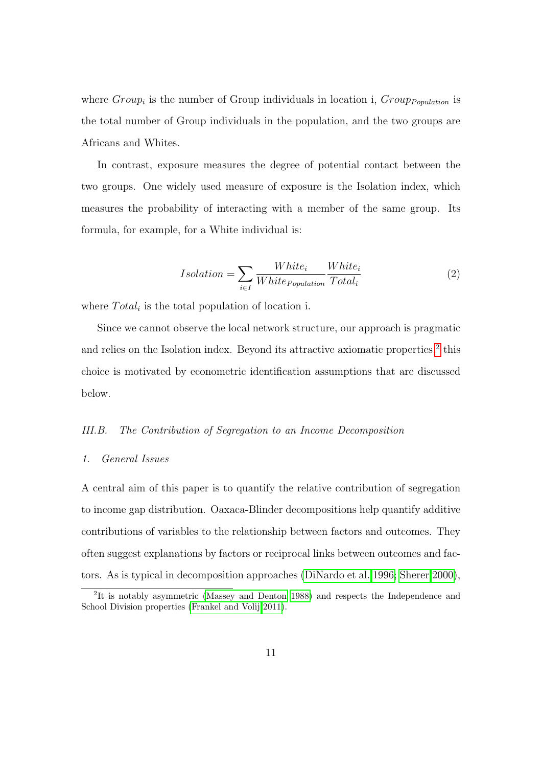where  $Group_i$  is the number of Group individuals in location i,  $Group_{Population}}$  is the total number of Group individuals in the population, and the two groups are Africans and Whites.

In contrast, exposure measures the degree of potential contact between the two groups. One widely used measure of exposure is the Isolation index, which measures the probability of interacting with a member of the same group. Its formula, for example, for a White individual is:

$$
Isolation = \sum_{i \in I} \frac{White_i}{White_{population}} \frac{White_i}{Total_i}
$$
 (2)

where  $Total<sub>i</sub>$  is the total population of location i.

Since we cannot observe the local network structure, our approach is pragmatic and relies on the Isolation index. Beyond its attractive axiomatic properties, $2$  this choice is motivated by econometric identification assumptions that are discussed below.

#### III.B. The Contribution of Segregation to an Income Decomposition

#### 1. General Issues

A central aim of this paper is to quantify the relative contribution of segregation to income gap distribution. Oaxaca-Blinder decompositions help quantify additive contributions of variables to the relationship between factors and outcomes. They often suggest explanations by factors or reciprocal links between outcomes and factors. As is typical in decomposition approaches [\(DiNardo et al. 1996;](#page-54-4) [Sherer 2000\)](#page-58-0),

<sup>2</sup> It is notably asymmetric [\(Massey and Denton 1988\)](#page-56-4) and respects the Independence and School Division properties [\(Frankel and Volij 2011\)](#page-55-6).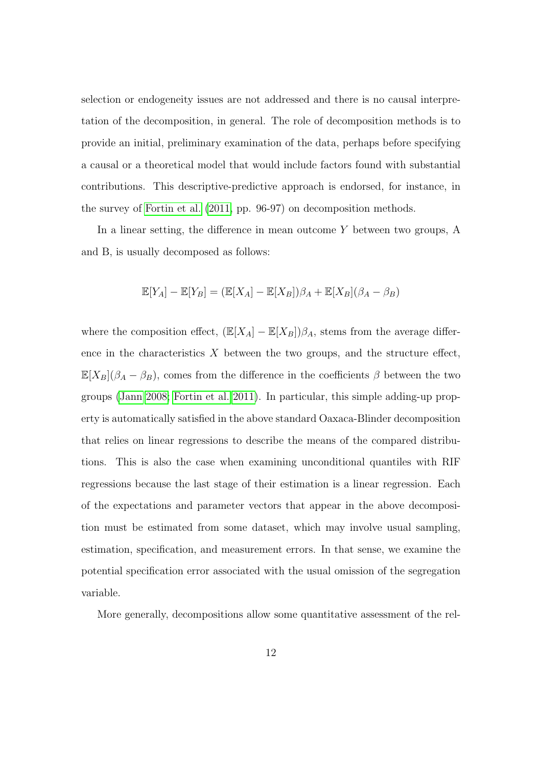selection or endogeneity issues are not addressed and there is no causal interpretation of the decomposition, in general. The role of decomposition methods is to provide an initial, preliminary examination of the data, perhaps before specifying a causal or a theoretical model that would include factors found with substantial contributions. This descriptive-predictive approach is endorsed, for instance, in the survey of [Fortin et al.](#page-55-4) [\(2011,](#page-55-4) pp. 96-97) on decomposition methods.

In a linear setting, the difference in mean outcome  $Y$  between two groups,  $A$ and B, is usually decomposed as follows:

$$
\mathbb{E}[Y_A] - \mathbb{E}[Y_B] = (\mathbb{E}[X_A] - \mathbb{E}[X_B])\beta_A + \mathbb{E}[X_B](\beta_A - \beta_B)
$$

where the composition effect,  $(\mathbb{E}[X_A] - \mathbb{E}[X_B])\beta_A$ , stems from the average difference in the characteristics  $X$  between the two groups, and the structure effect,  $\mathbb{E}[X_B](\beta_A - \beta_B)$ , comes from the difference in the coefficients  $\beta$  between the two groups [\(Jann 2008;](#page-55-7) [Fortin et al. 2011\)](#page-55-4). In particular, this simple adding-up property is automatically satisfied in the above standard Oaxaca-Blinder decomposition that relies on linear regressions to describe the means of the compared distributions. This is also the case when examining unconditional quantiles with RIF regressions because the last stage of their estimation is a linear regression. Each of the expectations and parameter vectors that appear in the above decomposition must be estimated from some dataset, which may involve usual sampling, estimation, specification, and measurement errors. In that sense, we examine the potential specification error associated with the usual omission of the segregation variable.

More generally, decompositions allow some quantitative assessment of the rel-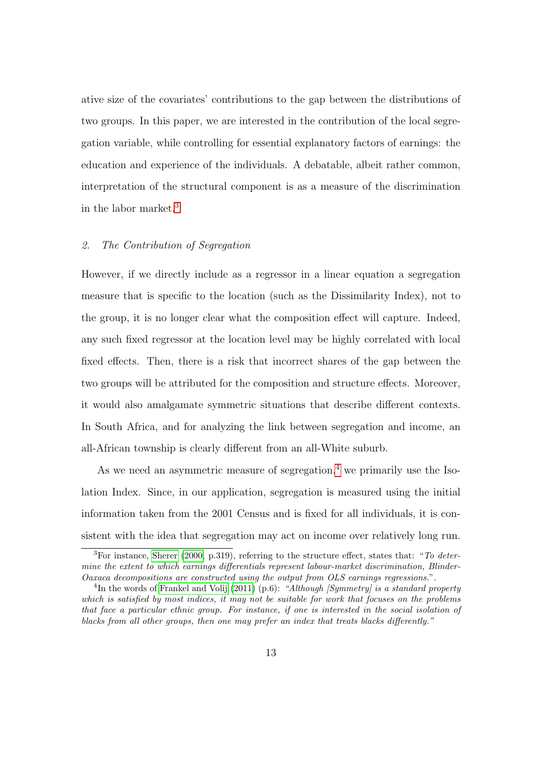ative size of the covariates' contributions to the gap between the distributions of two groups. In this paper, we are interested in the contribution of the local segregation variable, while controlling for essential explanatory factors of earnings: the education and experience of the individuals. A debatable, albeit rather common, interpretation of the structural component is as a measure of the discrimination in the labor market.[3](#page-1-0)

#### 2. The Contribution of Segregation

However, if we directly include as a regressor in a linear equation a segregation measure that is specific to the location (such as the Dissimilarity Index), not to the group, it is no longer clear what the composition effect will capture. Indeed, any such fixed regressor at the location level may be highly correlated with local fixed effects. Then, there is a risk that incorrect shares of the gap between the two groups will be attributed for the composition and structure effects. Moreover, it would also amalgamate symmetric situations that describe different contexts. In South Africa, and for analyzing the link between segregation and income, an all-African township is clearly different from an all-White suburb.

As we need an asymmetric measure of segregation,<sup>[4](#page-1-0)</sup> we primarily use the Isolation Index. Since, in our application, segregation is measured using the initial information taken from the 2001 Census and is fixed for all individuals, it is consistent with the idea that segregation may act on income over relatively long run.

<sup>&</sup>lt;sup>3</sup>For instance, [Sherer](#page-58-0) [\(2000,](#page-58-0) p.319), referring to the structure effect, states that: "To determine the extent to which earnings differentials represent labour-market discrimination, Blinder-Oaxaca decompositions are constructed using the output from OLS earnings regressions.".

<sup>&</sup>lt;sup>4</sup>In the words of [Frankel and Volij](#page-55-6) [\(2011\)](#page-55-6) (p.6): "Although [Symmetry] is a standard property which is satisfied by most indices, it may not be suitable for work that focuses on the problems that face a particular ethnic group. For instance, if one is interested in the social isolation of blacks from all other groups, then one may prefer an index that treats blacks differently."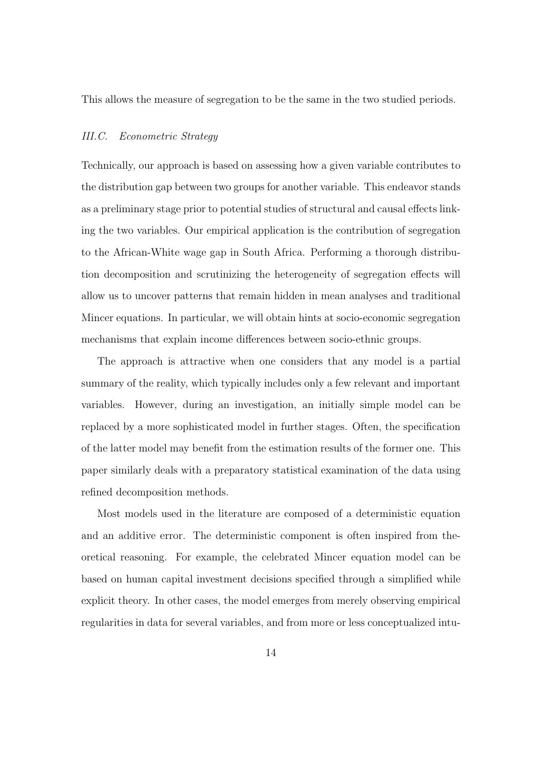This allows the measure of segregation to be the same in the two studied periods.

#### III.C. Econometric Strategy

Technically, our approach is based on assessing how a given variable contributes to the distribution gap between two groups for another variable. This endeavor stands as a preliminary stage prior to potential studies of structural and causal effects linking the two variables. Our empirical application is the contribution of segregation to the African-White wage gap in South Africa. Performing a thorough distribution decomposition and scrutinizing the heterogeneity of segregation effects will allow us to uncover patterns that remain hidden in mean analyses and traditional Mincer equations. In particular, we will obtain hints at socio-economic segregation mechanisms that explain income differences between socio-ethnic groups.

The approach is attractive when one considers that any model is a partial summary of the reality, which typically includes only a few relevant and important variables. However, during an investigation, an initially simple model can be replaced by a more sophisticated model in further stages. Often, the specification of the latter model may benefit from the estimation results of the former one. This paper similarly deals with a preparatory statistical examination of the data using refined decomposition methods.

Most models used in the literature are composed of a deterministic equation and an additive error. The deterministic component is often inspired from theoretical reasoning. For example, the celebrated Mincer equation model can be based on human capital investment decisions specified through a simplified while explicit theory. In other cases, the model emerges from merely observing empirical regularities in data for several variables, and from more or less conceptualized intu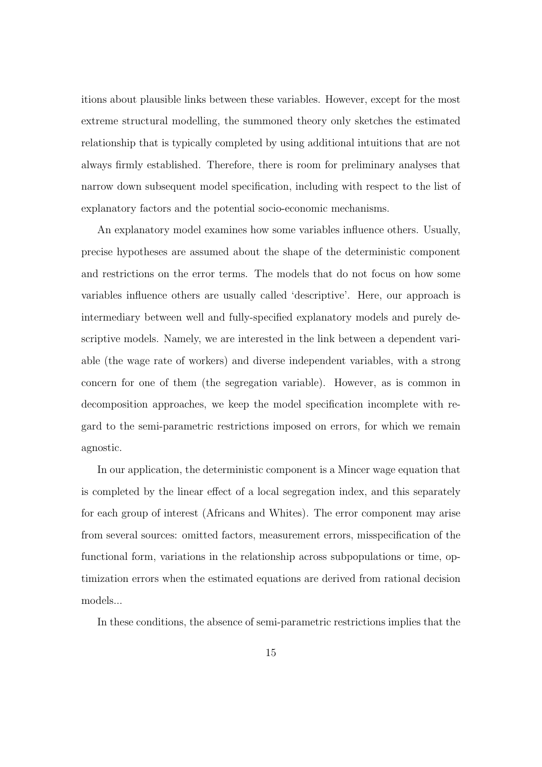itions about plausible links between these variables. However, except for the most extreme structural modelling, the summoned theory only sketches the estimated relationship that is typically completed by using additional intuitions that are not always firmly established. Therefore, there is room for preliminary analyses that narrow down subsequent model specification, including with respect to the list of explanatory factors and the potential socio-economic mechanisms.

An explanatory model examines how some variables influence others. Usually, precise hypotheses are assumed about the shape of the deterministic component and restrictions on the error terms. The models that do not focus on how some variables influence others are usually called 'descriptive'. Here, our approach is intermediary between well and fully-specified explanatory models and purely descriptive models. Namely, we are interested in the link between a dependent variable (the wage rate of workers) and diverse independent variables, with a strong concern for one of them (the segregation variable). However, as is common in decomposition approaches, we keep the model specification incomplete with regard to the semi-parametric restrictions imposed on errors, for which we remain agnostic.

In our application, the deterministic component is a Mincer wage equation that is completed by the linear effect of a local segregation index, and this separately for each group of interest (Africans and Whites). The error component may arise from several sources: omitted factors, measurement errors, misspecification of the functional form, variations in the relationship across subpopulations or time, optimization errors when the estimated equations are derived from rational decision models...

In these conditions, the absence of semi-parametric restrictions implies that the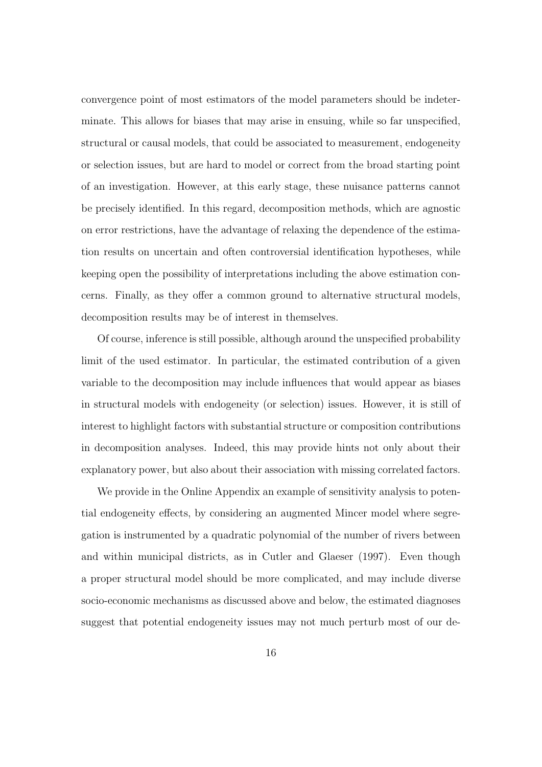convergence point of most estimators of the model parameters should be indeterminate. This allows for biases that may arise in ensuing, while so far unspecified, structural or causal models, that could be associated to measurement, endogeneity or selection issues, but are hard to model or correct from the broad starting point of an investigation. However, at this early stage, these nuisance patterns cannot be precisely identified. In this regard, decomposition methods, which are agnostic on error restrictions, have the advantage of relaxing the dependence of the estimation results on uncertain and often controversial identification hypotheses, while keeping open the possibility of interpretations including the above estimation concerns. Finally, as they offer a common ground to alternative structural models, decomposition results may be of interest in themselves.

Of course, inference is still possible, although around the unspecified probability limit of the used estimator. In particular, the estimated contribution of a given variable to the decomposition may include influences that would appear as biases in structural models with endogeneity (or selection) issues. However, it is still of interest to highlight factors with substantial structure or composition contributions in decomposition analyses. Indeed, this may provide hints not only about their explanatory power, but also about their association with missing correlated factors.

We provide in the Online Appendix an example of sensitivity analysis to potential endogeneity effects, by considering an augmented Mincer model where segregation is instrumented by a quadratic polynomial of the number of rivers between and within municipal districts, as in Cutler and Glaeser (1997). Even though a proper structural model should be more complicated, and may include diverse socio-economic mechanisms as discussed above and below, the estimated diagnoses suggest that potential endogeneity issues may not much perturb most of our de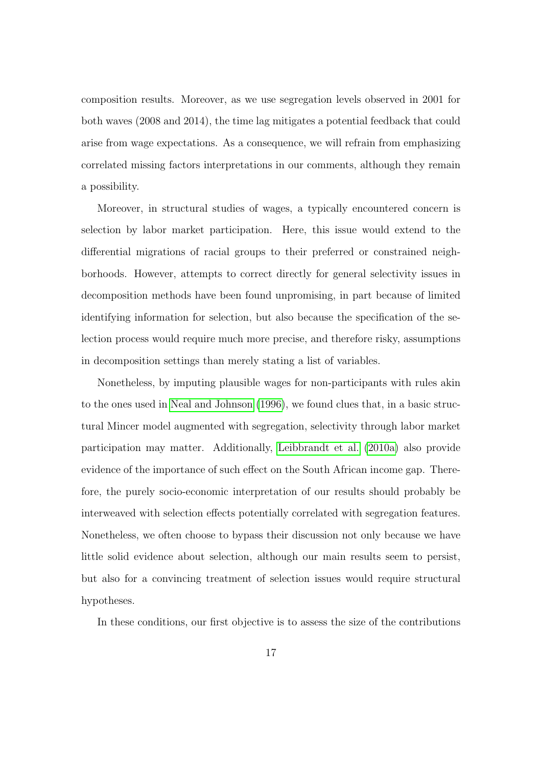composition results. Moreover, as we use segregation levels observed in 2001 for both waves (2008 and 2014), the time lag mitigates a potential feedback that could arise from wage expectations. As a consequence, we will refrain from emphasizing correlated missing factors interpretations in our comments, although they remain a possibility.

Moreover, in structural studies of wages, a typically encountered concern is selection by labor market participation. Here, this issue would extend to the differential migrations of racial groups to their preferred or constrained neighborhoods. However, attempts to correct directly for general selectivity issues in decomposition methods have been found unpromising, in part because of limited identifying information for selection, but also because the specification of the selection process would require much more precise, and therefore risky, assumptions in decomposition settings than merely stating a list of variables.

Nonetheless, by imputing plausible wages for non-participants with rules akin to the ones used in [Neal and Johnson](#page-57-3) [\(1996\)](#page-57-3), we found clues that, in a basic structural Mincer model augmented with segregation, selectivity through labor market participation may matter. Additionally, [Leibbrandt et al.](#page-56-5) [\(2010a\)](#page-56-5) also provide evidence of the importance of such effect on the South African income gap. Therefore, the purely socio-economic interpretation of our results should probably be interweaved with selection effects potentially correlated with segregation features. Nonetheless, we often choose to bypass their discussion not only because we have little solid evidence about selection, although our main results seem to persist, but also for a convincing treatment of selection issues would require structural hypotheses.

In these conditions, our first objective is to assess the size of the contributions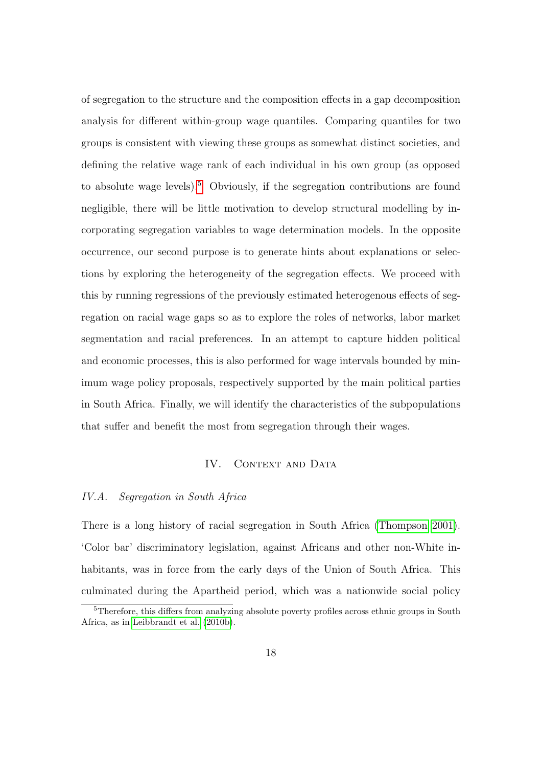of segregation to the structure and the composition effects in a gap decomposition analysis for different within-group wage quantiles. Comparing quantiles for two groups is consistent with viewing these groups as somewhat distinct societies, and defining the relative wage rank of each individual in his own group (as opposed to absolute wage levels).<sup>[5](#page-1-0)</sup> Obviously, if the segregation contributions are found negligible, there will be little motivation to develop structural modelling by incorporating segregation variables to wage determination models. In the opposite occurrence, our second purpose is to generate hints about explanations or selections by exploring the heterogeneity of the segregation effects. We proceed with this by running regressions of the previously estimated heterogenous effects of segregation on racial wage gaps so as to explore the roles of networks, labor market segmentation and racial preferences. In an attempt to capture hidden political and economic processes, this is also performed for wage intervals bounded by minimum wage policy proposals, respectively supported by the main political parties in South Africa. Finally, we will identify the characteristics of the subpopulations that suffer and benefit the most from segregation through their wages.

#### IV. CONTEXT AND DATA

#### <span id="page-18-0"></span>IV.A. Segregation in South Africa

There is a long history of racial segregation in South Africa [\(Thompson 2001\)](#page-58-3). 'Color bar' discriminatory legislation, against Africans and other non-White inhabitants, was in force from the early days of the Union of South Africa. This culminated during the Apartheid period, which was a nationwide social policy

<sup>&</sup>lt;sup>5</sup>Therefore, this differs from analyzing absolute poverty profiles across ethnic groups in South Africa, as in [Leibbrandt et al.](#page-56-0) [\(2010b\)](#page-56-0).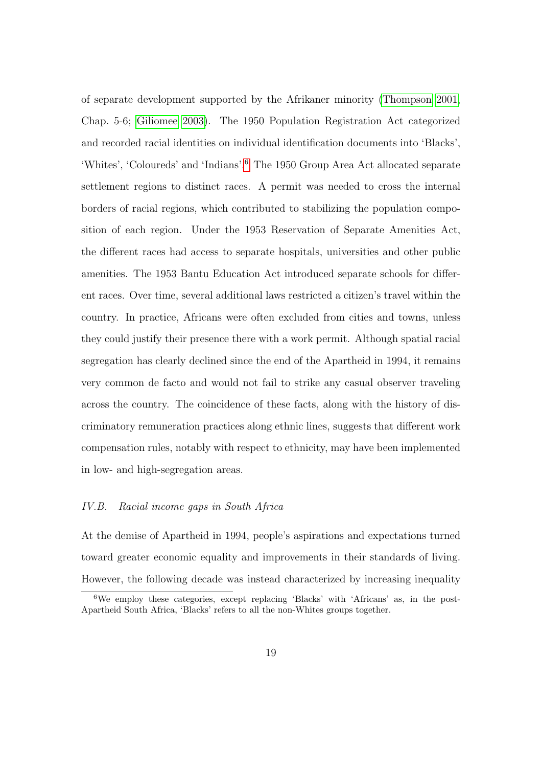of separate development supported by the Afrikaner minority [\(Thompson 2001,](#page-58-3) Chap. 5-6; [Giliomee 2003\)](#page-55-8). The 1950 Population Registration Act categorized and recorded racial identities on individual identification documents into 'Blacks', 'Whites', 'Coloureds' and 'Indians'.[6](#page-1-0) The 1950 Group Area Act allocated separate settlement regions to distinct races. A permit was needed to cross the internal borders of racial regions, which contributed to stabilizing the population composition of each region. Under the 1953 Reservation of Separate Amenities Act, the different races had access to separate hospitals, universities and other public amenities. The 1953 Bantu Education Act introduced separate schools for different races. Over time, several additional laws restricted a citizen's travel within the country. In practice, Africans were often excluded from cities and towns, unless they could justify their presence there with a work permit. Although spatial racial segregation has clearly declined since the end of the Apartheid in 1994, it remains very common de facto and would not fail to strike any casual observer traveling across the country. The coincidence of these facts, along with the history of discriminatory remuneration practices along ethnic lines, suggests that different work compensation rules, notably with respect to ethnicity, may have been implemented in low- and high-segregation areas.

#### IV.B. Racial income gaps in South Africa

At the demise of Apartheid in 1994, people's aspirations and expectations turned toward greater economic equality and improvements in their standards of living. However, the following decade was instead characterized by increasing inequality

<sup>6</sup>We employ these categories, except replacing 'Blacks' with 'Africans' as, in the post-Apartheid South Africa, 'Blacks' refers to all the non-Whites groups together.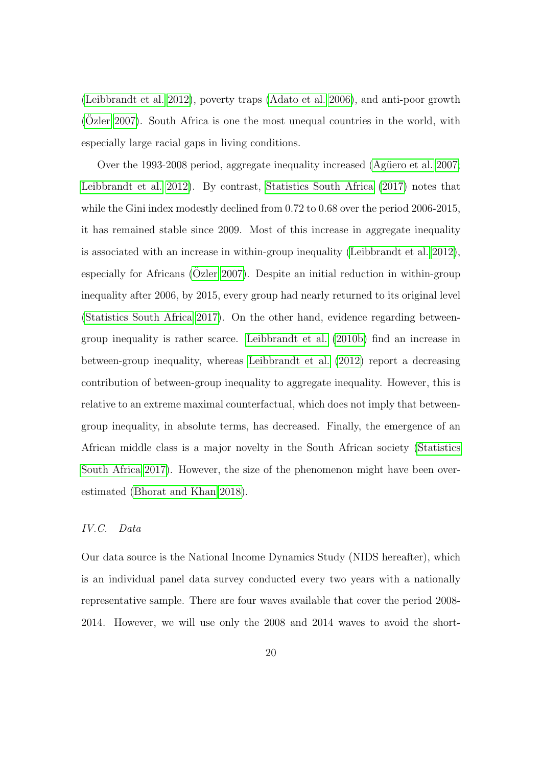[\(Leibbrandt et al. 2012\)](#page-56-6), poverty traps [\(Adato et al. 2006\)](#page-51-0), and anti-poor growth [\(Ozler 2007\)](#page-57-4). South Africa is one the most unequal countries in the world, with especially large racial gaps in living conditions.

Over the 1993-2008 period, aggregate inequality increased (Agüero et al. 2007; [Leibbrandt et al. 2012\)](#page-56-6). By contrast, [Statistics South Africa](#page-58-4) [\(2017\)](#page-58-4) notes that while the Gini index modestly declined from 0.72 to 0.68 over the period 2006-2015, it has remained stable since 2009. Most of this increase in aggregate inequality is associated with an increase in within-group inequality [\(Leibbrandt et al. 2012\)](#page-56-6), especially for Africans ( $O$ zler 2007). Despite an initial reduction in within-group inequality after 2006, by 2015, every group had nearly returned to its original level [\(Statistics South Africa 2017\)](#page-58-4). On the other hand, evidence regarding betweengroup inequality is rather scarce. [Leibbrandt et al.](#page-56-0) [\(2010b\)](#page-56-0) find an increase in between-group inequality, whereas [Leibbrandt et al.](#page-56-6) [\(2012\)](#page-56-6) report a decreasing contribution of between-group inequality to aggregate inequality. However, this is relative to an extreme maximal counterfactual, which does not imply that betweengroup inequality, in absolute terms, has decreased. Finally, the emergence of an African middle class is a major novelty in the South African society [\(Statistics](#page-58-4) [South Africa 2017\)](#page-58-4). However, the size of the phenomenon might have been overestimated [\(Bhorat and Khan 2018\)](#page-53-5).

#### IV.C. Data

Our data source is the National Income Dynamics Study (NIDS hereafter), which is an individual panel data survey conducted every two years with a nationally representative sample. There are four waves available that cover the period 2008- 2014. However, we will use only the 2008 and 2014 waves to avoid the short-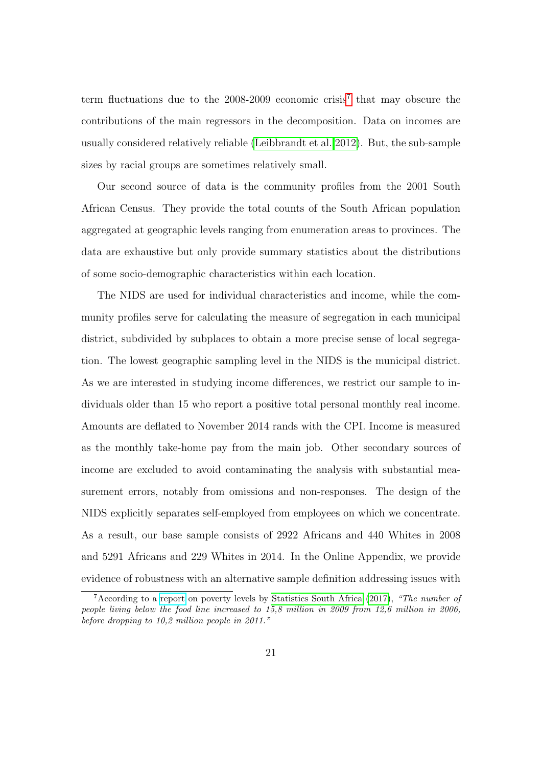term fluctuations due to the  $2008-2009$  economic crisis<sup>[7](#page-1-0)</sup> that may obscure the contributions of the main regressors in the decomposition. Data on incomes are usually considered relatively reliable [\(Leibbrandt et al. 2012\)](#page-56-6). But, the sub-sample sizes by racial groups are sometimes relatively small.

Our second source of data is the community profiles from the 2001 South African Census. They provide the total counts of the South African population aggregated at geographic levels ranging from enumeration areas to provinces. The data are exhaustive but only provide summary statistics about the distributions of some socio-demographic characteristics within each location.

The NIDS are used for individual characteristics and income, while the community profiles serve for calculating the measure of segregation in each municipal district, subdivided by subplaces to obtain a more precise sense of local segregation. The lowest geographic sampling level in the NIDS is the municipal district. As we are interested in studying income differences, we restrict our sample to individuals older than 15 who report a positive total personal monthly real income. Amounts are deflated to November 2014 rands with the CPI. Income is measured as the monthly take-home pay from the main job. Other secondary sources of income are excluded to avoid contaminating the analysis with substantial measurement errors, notably from omissions and non-responses. The design of the NIDS explicitly separates self-employed from employees on which we concentrate. As a result, our base sample consists of 2922 Africans and 440 Whites in 2008 and 5291 Africans and 229 Whites in 2014. In the Online Appendix, we provide evidence of robustness with an alternative sample definition addressing issues with

<sup>7</sup>According to a [report](http://www.gov.za/documents/poverty-trends-south-africa-examination-absolute-poverty-between-2006-and-2011) on poverty levels by [Statistics South Africa](#page-58-4) [\(2017\)](#page-58-4), "The number of people living below the food line increased to 15,8 million in 2009 from 12,6 million in 2006, before dropping to 10,2 million people in 2011."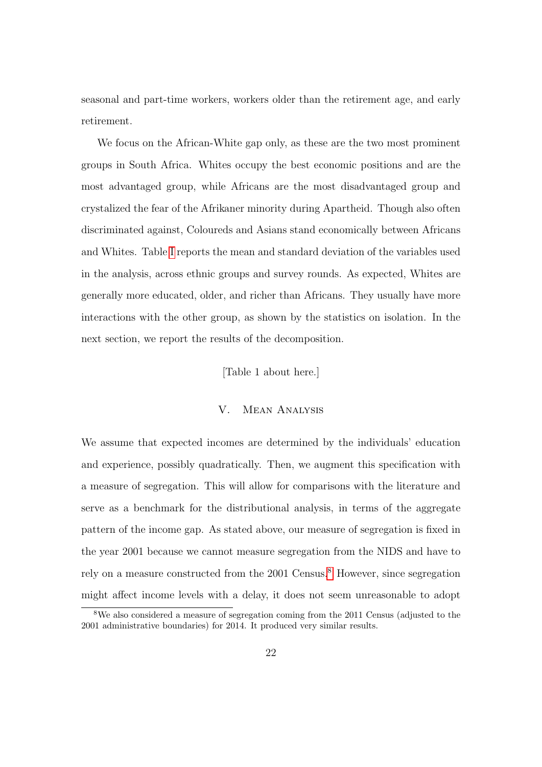seasonal and part-time workers, workers older than the retirement age, and early retirement.

We focus on the African-White gap only, as these are the two most prominent groups in South Africa. Whites occupy the best economic positions and are the most advantaged group, while Africans are the most disadvantaged group and crystalized the fear of the Afrikaner minority during Apartheid. Though also often discriminated against, Coloureds and Asians stand economically between Africans and Whites. Table [I](#page-59-0) reports the mean and standard deviation of the variables used in the analysis, across ethnic groups and survey rounds. As expected, Whites are generally more educated, older, and richer than Africans. They usually have more interactions with the other group, as shown by the statistics on isolation. In the next section, we report the results of the decomposition.

#### [Table 1 about here.]

#### V. Mean Analysis

<span id="page-22-0"></span>We assume that expected incomes are determined by the individuals' education and experience, possibly quadratically. Then, we augment this specification with a measure of segregation. This will allow for comparisons with the literature and serve as a benchmark for the distributional analysis, in terms of the aggregate pattern of the income gap. As stated above, our measure of segregation is fixed in the year 2001 because we cannot measure segregation from the NIDS and have to rely on a measure constructed from the 2001 Census.<sup>[8](#page-1-0)</sup> However, since segregation might affect income levels with a delay, it does not seem unreasonable to adopt

<sup>8</sup>We also considered a measure of segregation coming from the 2011 Census (adjusted to the 2001 administrative boundaries) for 2014. It produced very similar results.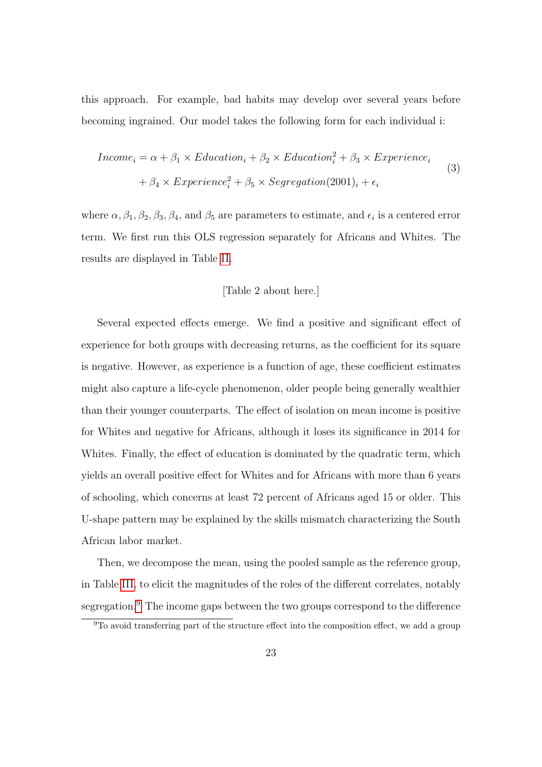this approach. For example, bad habits may develop over several years before becoming ingrained. Our model takes the following form for each individual i:

$$
Income_i = \alpha + \beta_1 \times Education_i + \beta_2 \times Education_i^2 + \beta_3 \times Experience_i
$$
  
+  $\beta_4 \times Experience_i^2 + \beta_5 \times Segregation(2001)_i + \epsilon_i$  (3)

where  $\alpha, \beta_1, \beta_2, \beta_3, \beta_4$ , and  $\beta_5$  are parameters to estimate, and  $\epsilon_i$  is a centered error term. We first run this OLS regression separately for Africans and Whites. The results are displayed in Table [II.](#page-60-0)

#### [Table 2 about here.]

Several expected effects emerge. We find a positive and significant effect of experience for both groups with decreasing returns, as the coefficient for its square is negative. However, as experience is a function of age, these coefficient estimates might also capture a life-cycle phenomenon, older people being generally wealthier than their younger counterparts. The effect of isolation on mean income is positive for Whites and negative for Africans, although it loses its significance in 2014 for Whites. Finally, the effect of education is dominated by the quadratic term, which yields an overall positive effect for Whites and for Africans with more than 6 years of schooling, which concerns at least 72 percent of Africans aged 15 or older. This U-shape pattern may be explained by the skills mismatch characterizing the South African labor market.

Then, we decompose the mean, using the pooled sample as the reference group, in Table [III,](#page-61-0) to elicit the magnitudes of the roles of the different correlates, notably segregation.<sup>[9](#page-1-0)</sup> The income gaps between the two groups correspond to the difference

 $9T<sub>9</sub>$  avoid transferring part of the structure effect into the composition effect, we add a group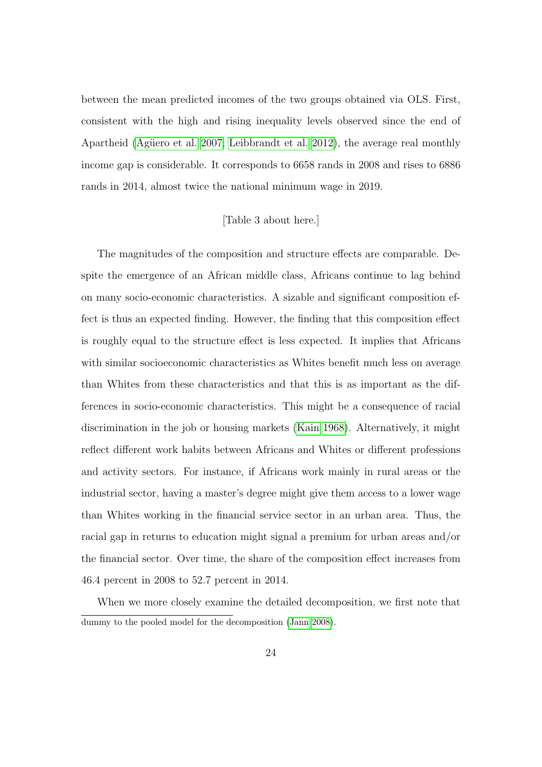between the mean predicted incomes of the two groups obtained via OLS. First, consistent with the high and rising inequality levels observed since the end of Apartheid (Agüero et al. 2007; [Leibbrandt et al. 2012\)](#page-56-6), the average real monthly income gap is considerable. It corresponds to 6658 rands in 2008 and rises to 6886 rands in 2014, almost twice the national minimum wage in 2019.

#### [Table 3 about here.]

The magnitudes of the composition and structure effects are comparable. Despite the emergence of an African middle class, Africans continue to lag behind on many socio-economic characteristics. A sizable and significant composition effect is thus an expected finding. However, the finding that this composition effect is roughly equal to the structure effect is less expected. It implies that Africans with similar socioeconomic characteristics as Whites benefit much less on average than Whites from these characteristics and that this is as important as the differences in socio-economic characteristics. This might be a consequence of racial discrimination in the job or housing markets [\(Kain 1968\)](#page-55-0). Alternatively, it might reflect different work habits between Africans and Whites or different professions and activity sectors. For instance, if Africans work mainly in rural areas or the industrial sector, having a master's degree might give them access to a lower wage than Whites working in the financial service sector in an urban area. Thus, the racial gap in returns to education might signal a premium for urban areas and/or the financial sector. Over time, the share of the composition effect increases from 46.4 percent in 2008 to 52.7 percent in 2014.

When we more closely examine the detailed decomposition, we first note that dummy to the pooled model for the decomposition [\(Jann 2008\)](#page-55-7).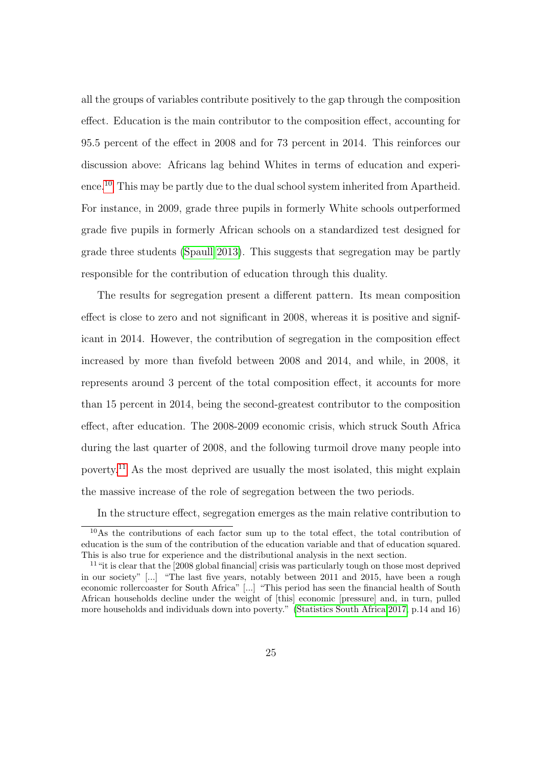all the groups of variables contribute positively to the gap through the composition effect. Education is the main contributor to the composition effect, accounting for 95.5 percent of the effect in 2008 and for 73 percent in 2014. This reinforces our discussion above: Africans lag behind Whites in terms of education and experience.[10](#page-1-0) This may be partly due to the dual school system inherited from Apartheid. For instance, in 2009, grade three pupils in formerly White schools outperformed grade five pupils in formerly African schools on a standardized test designed for grade three students [\(Spaull 2013\)](#page-58-5). This suggests that segregation may be partly responsible for the contribution of education through this duality.

The results for segregation present a different pattern. Its mean composition effect is close to zero and not significant in 2008, whereas it is positive and significant in 2014. However, the contribution of segregation in the composition effect increased by more than fivefold between 2008 and 2014, and while, in 2008, it represents around 3 percent of the total composition effect, it accounts for more than 15 percent in 2014, being the second-greatest contributor to the composition effect, after education. The 2008-2009 economic crisis, which struck South Africa during the last quarter of 2008, and the following turmoil drove many people into poverty.[11](#page-1-0) As the most deprived are usually the most isolated, this might explain the massive increase of the role of segregation between the two periods.

In the structure effect, segregation emerges as the main relative contribution to

<sup>10</sup>As the contributions of each factor sum up to the total effect, the total contribution of education is the sum of the contribution of the education variable and that of education squared. This is also true for experience and the distributional analysis in the next section.

<sup>&</sup>lt;sup>11</sup>"it is clear that the [2008 global financial] crisis was particularly tough on those most deprived in our society" [...] "The last five years, notably between 2011 and 2015, have been a rough economic rollercoaster for South Africa" [...] "This period has seen the financial health of South African households decline under the weight of [this] economic [pressure] and, in turn, pulled more households and individuals down into poverty." [\(Statistics South Africa 2017,](#page-58-4) p.14 and 16)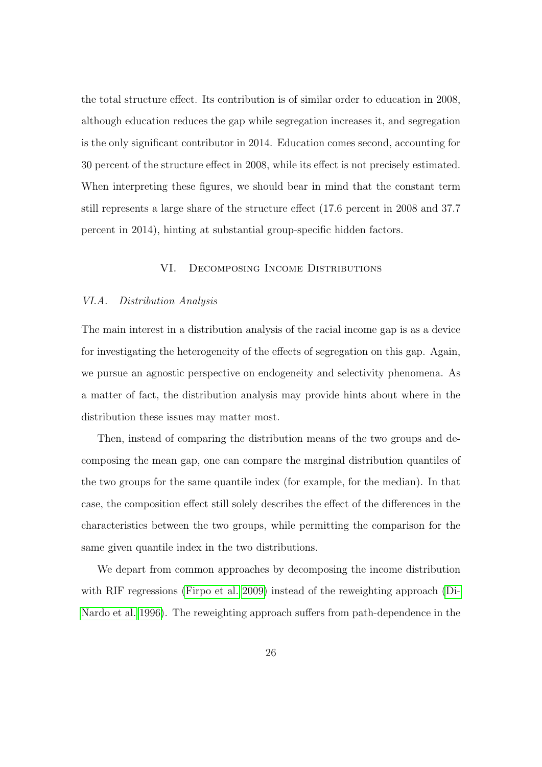the total structure effect. Its contribution is of similar order to education in 2008, although education reduces the gap while segregation increases it, and segregation is the only significant contributor in 2014. Education comes second, accounting for 30 percent of the structure effect in 2008, while its effect is not precisely estimated. When interpreting these figures, we should bear in mind that the constant term still represents a large share of the structure effect (17.6 percent in 2008 and 37.7 percent in 2014), hinting at substantial group-specific hidden factors.

#### VI. Decomposing Income Distributions

#### <span id="page-26-0"></span>VI.A. Distribution Analysis

The main interest in a distribution analysis of the racial income gap is as a device for investigating the heterogeneity of the effects of segregation on this gap. Again, we pursue an agnostic perspective on endogeneity and selectivity phenomena. As a matter of fact, the distribution analysis may provide hints about where in the distribution these issues may matter most.

Then, instead of comparing the distribution means of the two groups and decomposing the mean gap, one can compare the marginal distribution quantiles of the two groups for the same quantile index (for example, for the median). In that case, the composition effect still solely describes the effect of the differences in the characteristics between the two groups, while permitting the comparison for the same given quantile index in the two distributions.

We depart from common approaches by decomposing the income distribution with RIF regressions [\(Firpo et al. 2009\)](#page-55-3) instead of the reweighting approach [\(Di-](#page-54-4)[Nardo et al. 1996\)](#page-54-4). The reweighting approach suffers from path-dependence in the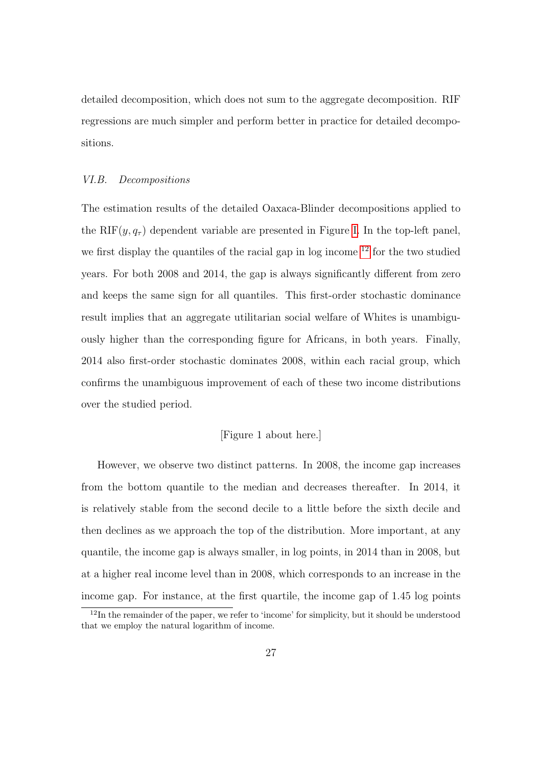detailed decomposition, which does not sum to the aggregate decomposition. RIF regressions are much simpler and perform better in practice for detailed decompositions.

#### VI.B. Decompositions

The estimation results of the detailed Oaxaca-Blinder decompositions applied to the RIF $(y, q<sub>\tau</sub>)$  dependent variable are presented in Figure [I.](#page-64-0) In the top-left panel, we first display the quantiles of the racial gap in log income [12](#page-1-0) for the two studied years. For both 2008 and 2014, the gap is always significantly different from zero and keeps the same sign for all quantiles. This first-order stochastic dominance result implies that an aggregate utilitarian social welfare of Whites is unambiguously higher than the corresponding figure for Africans, in both years. Finally, 2014 also first-order stochastic dominates 2008, within each racial group, which confirms the unambiguous improvement of each of these two income distributions over the studied period.

#### [Figure 1 about here.]

However, we observe two distinct patterns. In 2008, the income gap increases from the bottom quantile to the median and decreases thereafter. In 2014, it is relatively stable from the second decile to a little before the sixth decile and then declines as we approach the top of the distribution. More important, at any quantile, the income gap is always smaller, in log points, in 2014 than in 2008, but at a higher real income level than in 2008, which corresponds to an increase in the income gap. For instance, at the first quartile, the income gap of 1.45 log points

<sup>&</sup>lt;sup>12</sup>In the remainder of the paper, we refer to 'income' for simplicity, but it should be understood that we employ the natural logarithm of income.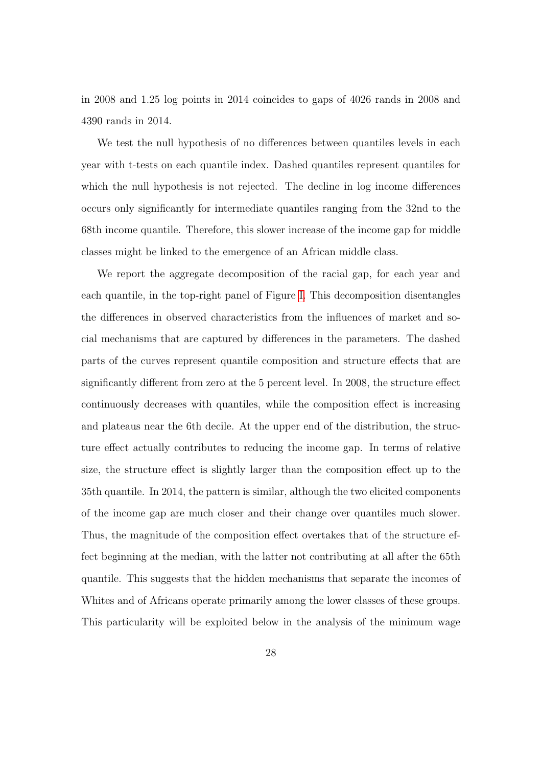in 2008 and 1.25 log points in 2014 coincides to gaps of 4026 rands in 2008 and 4390 rands in 2014.

We test the null hypothesis of no differences between quantiles levels in each year with t-tests on each quantile index. Dashed quantiles represent quantiles for which the null hypothesis is not rejected. The decline in log income differences occurs only significantly for intermediate quantiles ranging from the 32nd to the 68th income quantile. Therefore, this slower increase of the income gap for middle classes might be linked to the emergence of an African middle class.

We report the aggregate decomposition of the racial gap, for each year and each quantile, in the top-right panel of Figure [I.](#page-64-0) This decomposition disentangles the differences in observed characteristics from the influences of market and social mechanisms that are captured by differences in the parameters. The dashed parts of the curves represent quantile composition and structure effects that are significantly different from zero at the 5 percent level. In 2008, the structure effect continuously decreases with quantiles, while the composition effect is increasing and plateaus near the 6th decile. At the upper end of the distribution, the structure effect actually contributes to reducing the income gap. In terms of relative size, the structure effect is slightly larger than the composition effect up to the 35th quantile. In 2014, the pattern is similar, although the two elicited components of the income gap are much closer and their change over quantiles much slower. Thus, the magnitude of the composition effect overtakes that of the structure effect beginning at the median, with the latter not contributing at all after the 65th quantile. This suggests that the hidden mechanisms that separate the incomes of Whites and of Africans operate primarily among the lower classes of these groups. This particularity will be exploited below in the analysis of the minimum wage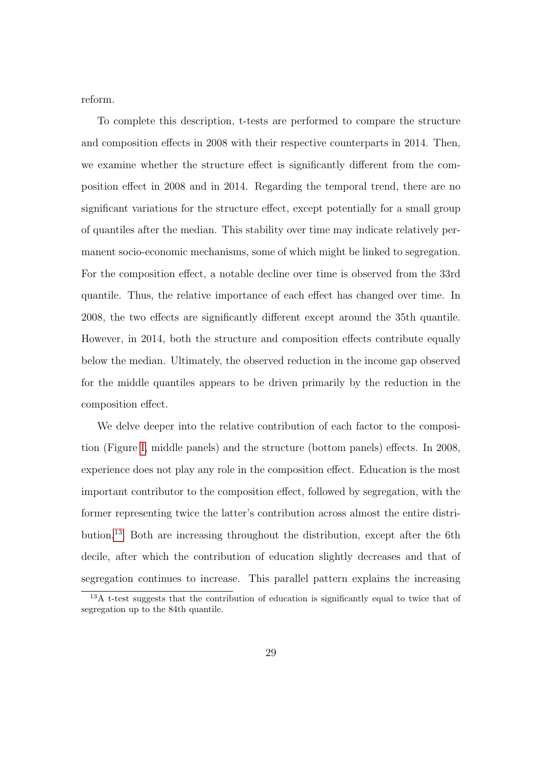reform.

To complete this description, t-tests are performed to compare the structure and composition effects in 2008 with their respective counterparts in 2014. Then, we examine whether the structure effect is significantly different from the composition effect in 2008 and in 2014. Regarding the temporal trend, there are no significant variations for the structure effect, except potentially for a small group of quantiles after the median. This stability over time may indicate relatively permanent socio-economic mechanisms, some of which might be linked to segregation. For the composition effect, a notable decline over time is observed from the 33rd quantile. Thus, the relative importance of each effect has changed over time. In 2008, the two effects are significantly different except around the 35th quantile. However, in 2014, both the structure and composition effects contribute equally below the median. Ultimately, the observed reduction in the income gap observed for the middle quantiles appears to be driven primarily by the reduction in the composition effect.

We delve deeper into the relative contribution of each factor to the composition (Figure [I,](#page-64-0) middle panels) and the structure (bottom panels) effects. In 2008, experience does not play any role in the composition effect. Education is the most important contributor to the composition effect, followed by segregation, with the former representing twice the latter's contribution across almost the entire distribution.[13](#page-1-0) Both are increasing throughout the distribution, except after the 6th decile, after which the contribution of education slightly decreases and that of segregation continues to increase. This parallel pattern explains the increasing

<sup>&</sup>lt;sup>13</sup>A t-test suggests that the contribution of education is significantly equal to twice that of segregation up to the 84th quantile.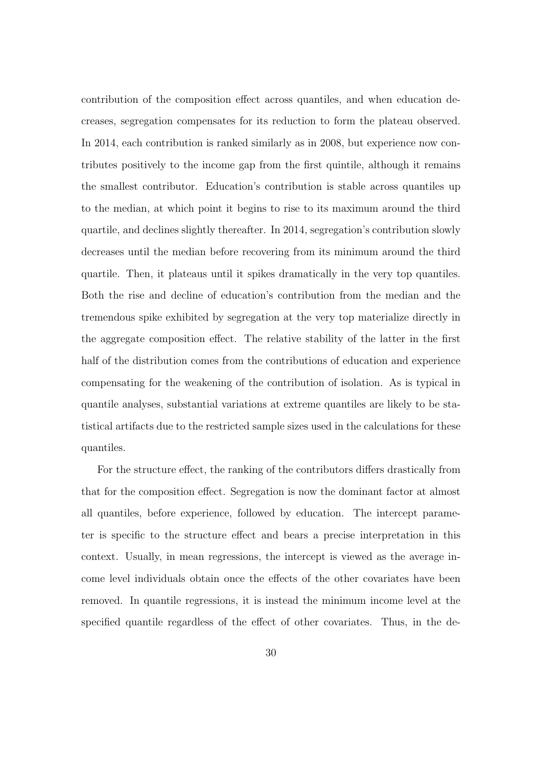contribution of the composition effect across quantiles, and when education decreases, segregation compensates for its reduction to form the plateau observed. In 2014, each contribution is ranked similarly as in 2008, but experience now contributes positively to the income gap from the first quintile, although it remains the smallest contributor. Education's contribution is stable across quantiles up to the median, at which point it begins to rise to its maximum around the third quartile, and declines slightly thereafter. In 2014, segregation's contribution slowly decreases until the median before recovering from its minimum around the third quartile. Then, it plateaus until it spikes dramatically in the very top quantiles. Both the rise and decline of education's contribution from the median and the tremendous spike exhibited by segregation at the very top materialize directly in the aggregate composition effect. The relative stability of the latter in the first half of the distribution comes from the contributions of education and experience compensating for the weakening of the contribution of isolation. As is typical in quantile analyses, substantial variations at extreme quantiles are likely to be statistical artifacts due to the restricted sample sizes used in the calculations for these quantiles.

For the structure effect, the ranking of the contributors differs drastically from that for the composition effect. Segregation is now the dominant factor at almost all quantiles, before experience, followed by education. The intercept parameter is specific to the structure effect and bears a precise interpretation in this context. Usually, in mean regressions, the intercept is viewed as the average income level individuals obtain once the effects of the other covariates have been removed. In quantile regressions, it is instead the minimum income level at the specified quantile regardless of the effect of other covariates. Thus, in the de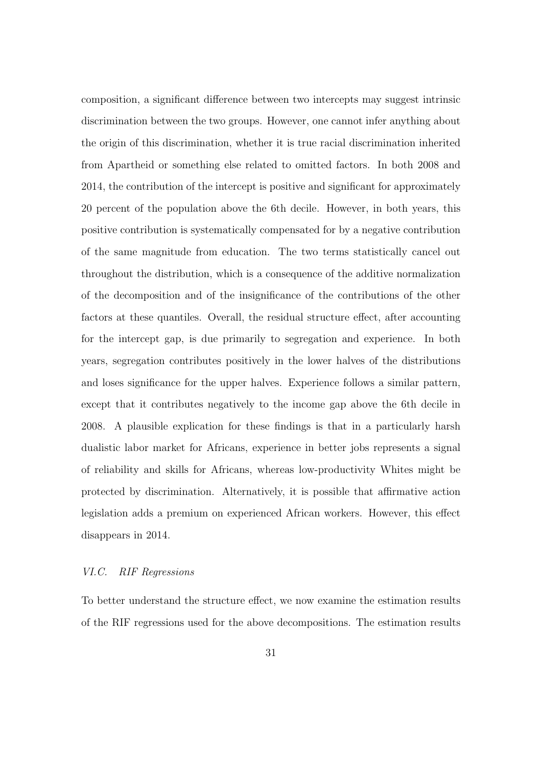composition, a significant difference between two intercepts may suggest intrinsic discrimination between the two groups. However, one cannot infer anything about the origin of this discrimination, whether it is true racial discrimination inherited from Apartheid or something else related to omitted factors. In both 2008 and 2014, the contribution of the intercept is positive and significant for approximately 20 percent of the population above the 6th decile. However, in both years, this positive contribution is systematically compensated for by a negative contribution of the same magnitude from education. The two terms statistically cancel out throughout the distribution, which is a consequence of the additive normalization of the decomposition and of the insignificance of the contributions of the other factors at these quantiles. Overall, the residual structure effect, after accounting for the intercept gap, is due primarily to segregation and experience. In both years, segregation contributes positively in the lower halves of the distributions and loses significance for the upper halves. Experience follows a similar pattern, except that it contributes negatively to the income gap above the 6th decile in 2008. A plausible explication for these findings is that in a particularly harsh dualistic labor market for Africans, experience in better jobs represents a signal of reliability and skills for Africans, whereas low-productivity Whites might be protected by discrimination. Alternatively, it is possible that affirmative action legislation adds a premium on experienced African workers. However, this effect disappears in 2014.

#### VI.C. RIF Regressions

To better understand the structure effect, we now examine the estimation results of the RIF regressions used for the above decompositions. The estimation results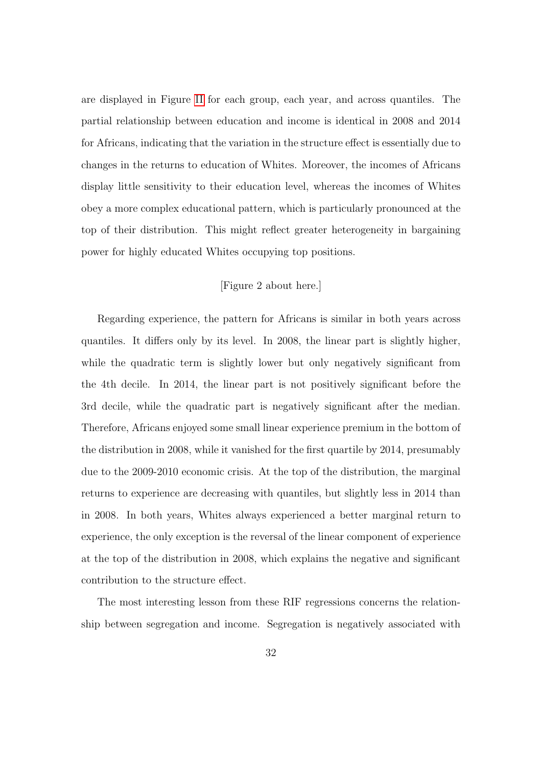are displayed in Figure [II](#page-65-0) for each group, each year, and across quantiles. The partial relationship between education and income is identical in 2008 and 2014 for Africans, indicating that the variation in the structure effect is essentially due to changes in the returns to education of Whites. Moreover, the incomes of Africans display little sensitivity to their education level, whereas the incomes of Whites obey a more complex educational pattern, which is particularly pronounced at the top of their distribution. This might reflect greater heterogeneity in bargaining power for highly educated Whites occupying top positions.

#### [Figure 2 about here.]

Regarding experience, the pattern for Africans is similar in both years across quantiles. It differs only by its level. In 2008, the linear part is slightly higher, while the quadratic term is slightly lower but only negatively significant from the 4th decile. In 2014, the linear part is not positively significant before the 3rd decile, while the quadratic part is negatively significant after the median. Therefore, Africans enjoyed some small linear experience premium in the bottom of the distribution in 2008, while it vanished for the first quartile by 2014, presumably due to the 2009-2010 economic crisis. At the top of the distribution, the marginal returns to experience are decreasing with quantiles, but slightly less in 2014 than in 2008. In both years, Whites always experienced a better marginal return to experience, the only exception is the reversal of the linear component of experience at the top of the distribution in 2008, which explains the negative and significant contribution to the structure effect.

The most interesting lesson from these RIF regressions concerns the relationship between segregation and income. Segregation is negatively associated with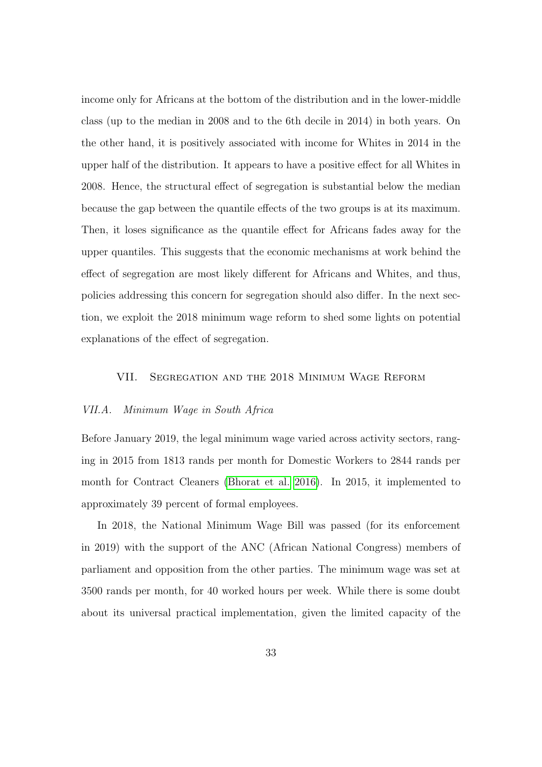income only for Africans at the bottom of the distribution and in the lower-middle class (up to the median in 2008 and to the 6th decile in 2014) in both years. On the other hand, it is positively associated with income for Whites in 2014 in the upper half of the distribution. It appears to have a positive effect for all Whites in 2008. Hence, the structural effect of segregation is substantial below the median because the gap between the quantile effects of the two groups is at its maximum. Then, it loses significance as the quantile effect for Africans fades away for the upper quantiles. This suggests that the economic mechanisms at work behind the effect of segregation are most likely different for Africans and Whites, and thus, policies addressing this concern for segregation should also differ. In the next section, we exploit the 2018 minimum wage reform to shed some lights on potential explanations of the effect of segregation.

#### <span id="page-33-0"></span>VII. Segregation and the 2018 Minimum Wage Reform

#### VII.A. Minimum Wage in South Africa

Before January 2019, the legal minimum wage varied across activity sectors, ranging in 2015 from 1813 rands per month for Domestic Workers to 2844 rands per month for Contract Cleaners [\(Bhorat et al. 2016\)](#page-53-6). In 2015, it implemented to approximately 39 percent of formal employees.

In 2018, the National Minimum Wage Bill was passed (for its enforcement in 2019) with the support of the ANC (African National Congress) members of parliament and opposition from the other parties. The minimum wage was set at 3500 rands per month, for 40 worked hours per week. While there is some doubt about its universal practical implementation, given the limited capacity of the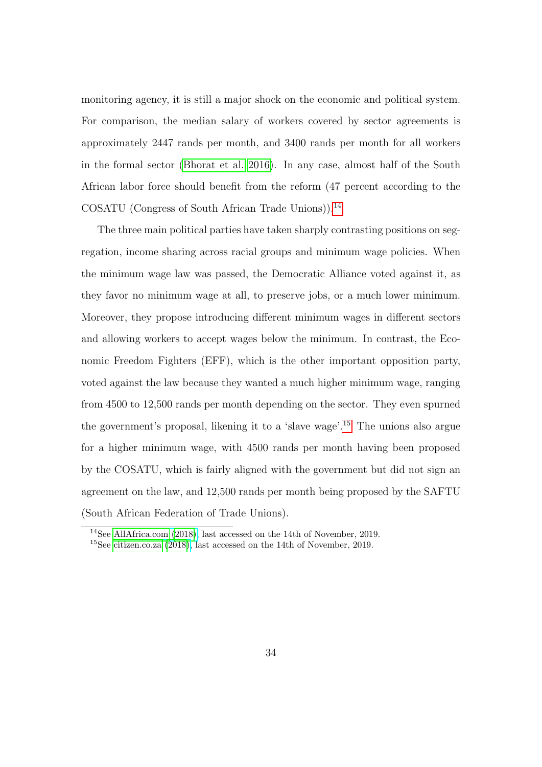monitoring agency, it is still a major shock on the economic and political system. For comparison, the median salary of workers covered by sector agreements is approximately 2447 rands per month, and 3400 rands per month for all workers in the formal sector [\(Bhorat et al. 2016\)](#page-53-6). In any case, almost half of the South African labor force should benefit from the reform (47 percent according to the COSATU (Congress of South African Trade Unions)).[14](#page-1-0)

The three main political parties have taken sharply contrasting positions on segregation, income sharing across racial groups and minimum wage policies. When the minimum wage law was passed, the Democratic Alliance voted against it, as they favor no minimum wage at all, to preserve jobs, or a much lower minimum. Moreover, they propose introducing different minimum wages in different sectors and allowing workers to accept wages below the minimum. In contrast, the Economic Freedom Fighters (EFF), which is the other important opposition party, voted against the law because they wanted a much higher minimum wage, ranging from 4500 to 12,500 rands per month depending on the sector. They even spurned the government's proposal, likening it to a 'slave wage'.<sup>[15](#page-1-0)</sup> The unions also argue for a higher minimum wage, with 4500 rands per month having been proposed by the COSATU, which is fairly aligned with the government but did not sign an agreement on the law, and 12,500 rands per month being proposed by the SAFTU (South African Federation of Trade Unions).

<sup>14</sup>See [AllAfrica.com \(2018\),](https://allafrica.com/stories/201804250851.html) last accessed on the 14th of November, 2019.

<sup>15</sup>See [citizen.co.za \(2018\),](https://citizen.co.za/news/1941755/eff-calls-new-minimum-wage-bill-legitimised-slave-labour/) last accessed on the 14th of November, 2019.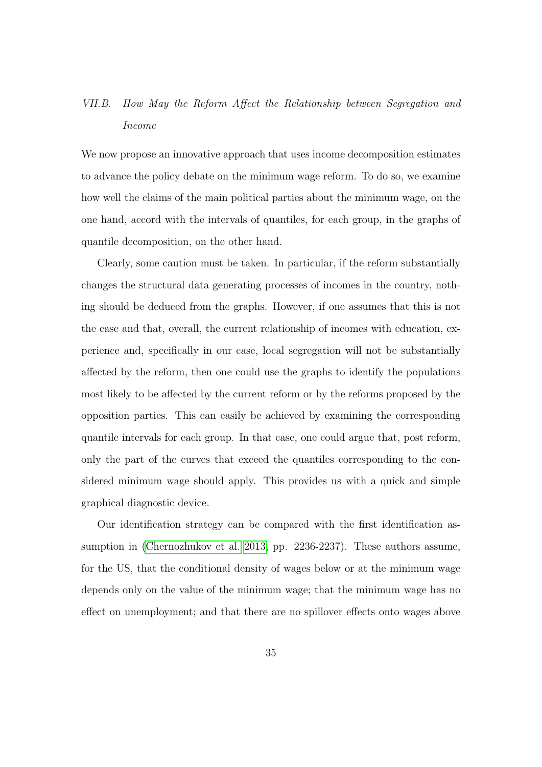## VII.B. How May the Reform Affect the Relationship between Segregation and Income

We now propose an innovative approach that uses income decomposition estimates to advance the policy debate on the minimum wage reform. To do so, we examine how well the claims of the main political parties about the minimum wage, on the one hand, accord with the intervals of quantiles, for each group, in the graphs of quantile decomposition, on the other hand.

Clearly, some caution must be taken. In particular, if the reform substantially changes the structural data generating processes of incomes in the country, nothing should be deduced from the graphs. However, if one assumes that this is not the case and that, overall, the current relationship of incomes with education, experience and, specifically in our case, local segregation will not be substantially affected by the reform, then one could use the graphs to identify the populations most likely to be affected by the current reform or by the reforms proposed by the opposition parties. This can easily be achieved by examining the corresponding quantile intervals for each group. In that case, one could argue that, post reform, only the part of the curves that exceed the quantiles corresponding to the considered minimum wage should apply. This provides us with a quick and simple graphical diagnostic device.

Our identification strategy can be compared with the first identification assumption in [\(Chernozhukov et al. 2013,](#page-53-7) pp. 2236-2237). These authors assume, for the US, that the conditional density of wages below or at the minimum wage depends only on the value of the minimum wage; that the minimum wage has no effect on unemployment; and that there are no spillover effects onto wages above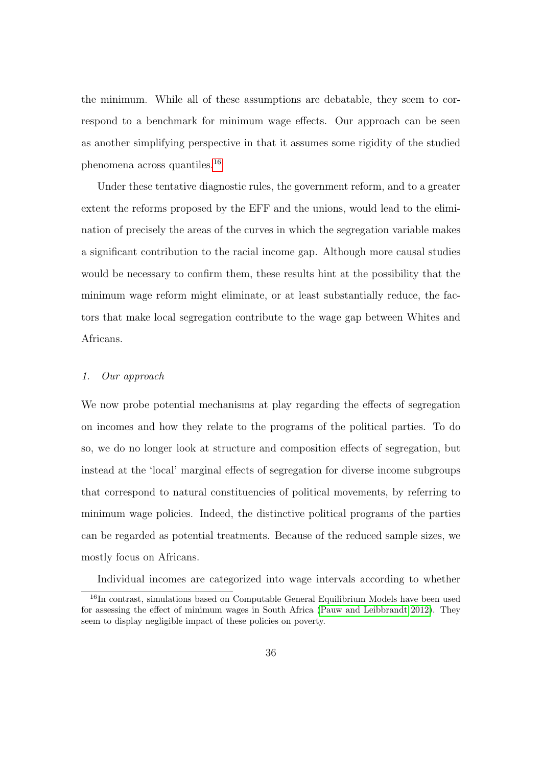the minimum. While all of these assumptions are debatable, they seem to correspond to a benchmark for minimum wage effects. Our approach can be seen as another simplifying perspective in that it assumes some rigidity of the studied phenomena across quantiles.[16](#page-1-0)

Under these tentative diagnostic rules, the government reform, and to a greater extent the reforms proposed by the EFF and the unions, would lead to the elimination of precisely the areas of the curves in which the segregation variable makes a significant contribution to the racial income gap. Although more causal studies would be necessary to confirm them, these results hint at the possibility that the minimum wage reform might eliminate, or at least substantially reduce, the factors that make local segregation contribute to the wage gap between Whites and Africans.

#### 1. Our approach

We now probe potential mechanisms at play regarding the effects of segregation on incomes and how they relate to the programs of the political parties. To do so, we do no longer look at structure and composition effects of segregation, but instead at the 'local' marginal effects of segregation for diverse income subgroups that correspond to natural constituencies of political movements, by referring to minimum wage policies. Indeed, the distinctive political programs of the parties can be regarded as potential treatments. Because of the reduced sample sizes, we mostly focus on Africans.

Individual incomes are categorized into wage intervals according to whether

<sup>&</sup>lt;sup>16</sup>In contrast, simulations based on Computable General Equilibrium Models have been used for assessing the effect of minimum wages in South Africa [\(Pauw and Leibbrandt 2012\)](#page-57-5). They seem to display negligible impact of these policies on poverty.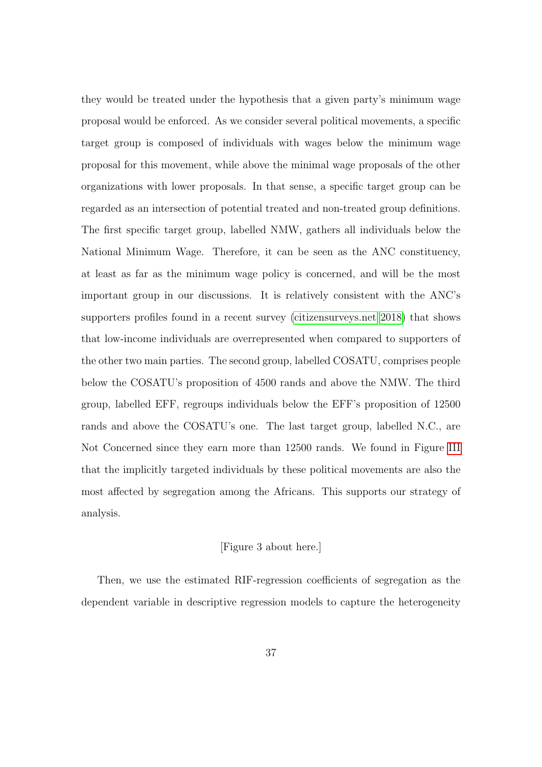they would be treated under the hypothesis that a given party's minimum wage proposal would be enforced. As we consider several political movements, a specific target group is composed of individuals with wages below the minimum wage proposal for this movement, while above the minimal wage proposals of the other organizations with lower proposals. In that sense, a specific target group can be regarded as an intersection of potential treated and non-treated group definitions. The first specific target group, labelled NMW, gathers all individuals below the National Minimum Wage. Therefore, it can be seen as the ANC constituency, at least as far as the minimum wage policy is concerned, and will be the most important group in our discussions. It is relatively consistent with the ANC's supporters profiles found in a recent survey [\(citizensurveys.net 2018\)](#page-54-5) that shows that low-income individuals are overrepresented when compared to supporters of the other two main parties. The second group, labelled COSATU, comprises people below the COSATU's proposition of 4500 rands and above the NMW. The third group, labelled EFF, regroups individuals below the EFF's proposition of 12500 rands and above the COSATU's one. The last target group, labelled N.C., are Not Concerned since they earn more than 12500 rands. We found in Figure [III](#page-66-0) that the implicitly targeted individuals by these political movements are also the most affected by segregation among the Africans. This supports our strategy of analysis.

#### [Figure 3 about here.]

Then, we use the estimated RIF-regression coefficients of segregation as the dependent variable in descriptive regression models to capture the heterogeneity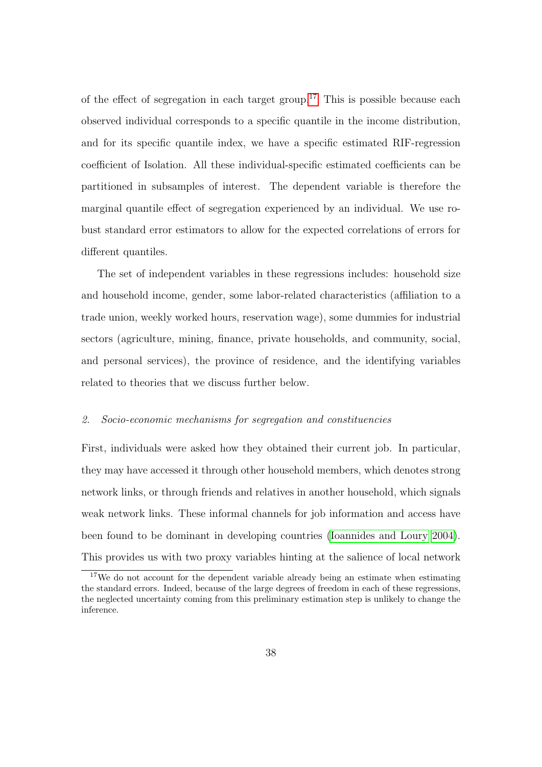of the effect of segregation in each target group.<sup>[17](#page-1-0)</sup> This is possible because each observed individual corresponds to a specific quantile in the income distribution, and for its specific quantile index, we have a specific estimated RIF-regression coefficient of Isolation. All these individual-specific estimated coefficients can be partitioned in subsamples of interest. The dependent variable is therefore the marginal quantile effect of segregation experienced by an individual. We use robust standard error estimators to allow for the expected correlations of errors for different quantiles.

The set of independent variables in these regressions includes: household size and household income, gender, some labor-related characteristics (affiliation to a trade union, weekly worked hours, reservation wage), some dummies for industrial sectors (agriculture, mining, finance, private households, and community, social, and personal services), the province of residence, and the identifying variables related to theories that we discuss further below.

#### 2. Socio-economic mechanisms for segregation and constituencies

First, individuals were asked how they obtained their current job. In particular, they may have accessed it through other household members, which denotes strong network links, or through friends and relatives in another household, which signals weak network links. These informal channels for job information and access have been found to be dominant in developing countries [\(Ioannides and Loury 2004\)](#page-55-5). This provides us with two proxy variables hinting at the salience of local network

<sup>&</sup>lt;sup>17</sup>We do not account for the dependent variable already being an estimate when estimating the standard errors. Indeed, because of the large degrees of freedom in each of these regressions, the neglected uncertainty coming from this preliminary estimation step is unlikely to change the inference.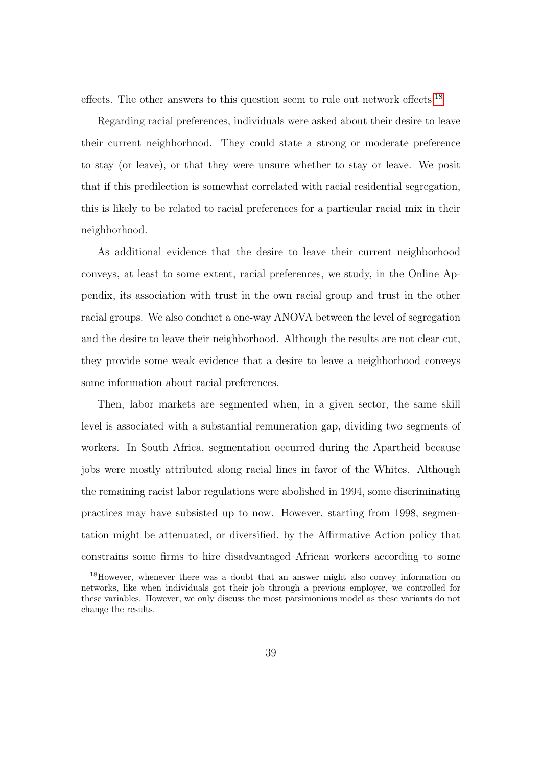effects. The other answers to this question seem to rule out network effects.<sup>[18](#page-1-0)</sup>

Regarding racial preferences, individuals were asked about their desire to leave their current neighborhood. They could state a strong or moderate preference to stay (or leave), or that they were unsure whether to stay or leave. We posit that if this predilection is somewhat correlated with racial residential segregation, this is likely to be related to racial preferences for a particular racial mix in their neighborhood.

As additional evidence that the desire to leave their current neighborhood conveys, at least to some extent, racial preferences, we study, in the Online Appendix, its association with trust in the own racial group and trust in the other racial groups. We also conduct a one-way ANOVA between the level of segregation and the desire to leave their neighborhood. Although the results are not clear cut, they provide some weak evidence that a desire to leave a neighborhood conveys some information about racial preferences.

Then, labor markets are segmented when, in a given sector, the same skill level is associated with a substantial remuneration gap, dividing two segments of workers. In South Africa, segmentation occurred during the Apartheid because jobs were mostly attributed along racial lines in favor of the Whites. Although the remaining racist labor regulations were abolished in 1994, some discriminating practices may have subsisted up to now. However, starting from 1998, segmentation might be attenuated, or diversified, by the Affirmative Action policy that constrains some firms to hire disadvantaged African workers according to some

<sup>18</sup>However, whenever there was a doubt that an answer might also convey information on networks, like when individuals got their job through a previous employer, we controlled for these variables. However, we only discuss the most parsimonious model as these variants do not change the results.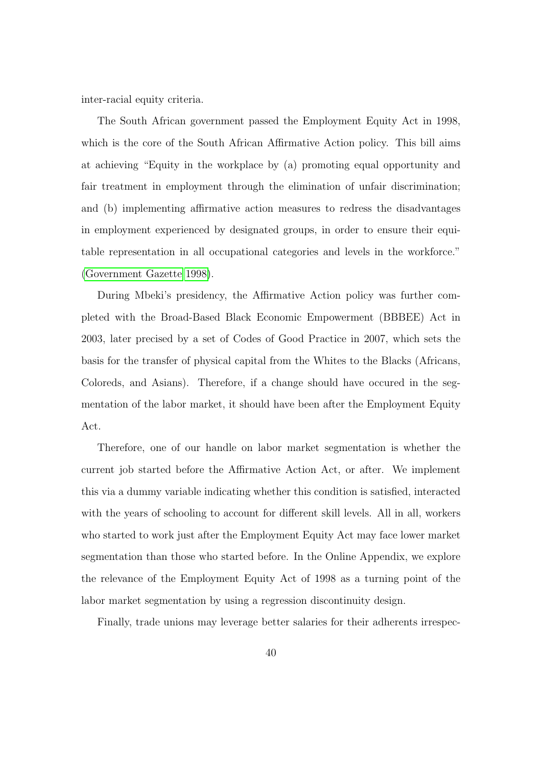inter-racial equity criteria.

The South African government passed the Employment Equity Act in 1998, which is the core of the South African Affirmative Action policy. This bill aims at achieving "Equity in the workplace by (a) promoting equal opportunity and fair treatment in employment through the elimination of unfair discrimination; and (b) implementing affirmative action measures to redress the disadvantages in employment experienced by designated groups, in order to ensure their equitable representation in all occupational categories and levels in the workforce." [\(Government Gazette 1998\)](#page-57-6).

During Mbeki's presidency, the Affirmative Action policy was further completed with the Broad-Based Black Economic Empowerment (BBBEE) Act in 2003, later precised by a set of Codes of Good Practice in 2007, which sets the basis for the transfer of physical capital from the Whites to the Blacks (Africans, Coloreds, and Asians). Therefore, if a change should have occured in the segmentation of the labor market, it should have been after the Employment Equity Act.

Therefore, one of our handle on labor market segmentation is whether the current job started before the Affirmative Action Act, or after. We implement this via a dummy variable indicating whether this condition is satisfied, interacted with the years of schooling to account for different skill levels. All in all, workers who started to work just after the Employment Equity Act may face lower market segmentation than those who started before. In the Online Appendix, we explore the relevance of the Employment Equity Act of 1998 as a turning point of the labor market segmentation by using a regression discontinuity design.

Finally, trade unions may leverage better salaries for their adherents irrespec-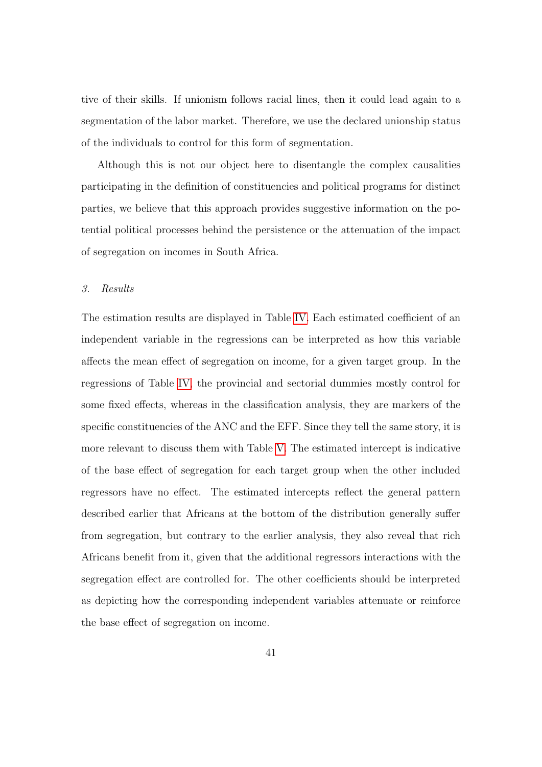tive of their skills. If unionism follows racial lines, then it could lead again to a segmentation of the labor market. Therefore, we use the declared unionship status of the individuals to control for this form of segmentation.

Although this is not our object here to disentangle the complex causalities participating in the definition of constituencies and political programs for distinct parties, we believe that this approach provides suggestive information on the potential political processes behind the persistence or the attenuation of the impact of segregation on incomes in South Africa.

#### 3. Results

The estimation results are displayed in Table [IV.](#page-62-0) Each estimated coefficient of an independent variable in the regressions can be interpreted as how this variable affects the mean effect of segregation on income, for a given target group. In the regressions of Table [IV,](#page-62-0) the provincial and sectorial dummies mostly control for some fixed effects, whereas in the classification analysis, they are markers of the specific constituencies of the ANC and the EFF. Since they tell the same story, it is more relevant to discuss them with Table [V.](#page-63-0) The estimated intercept is indicative of the base effect of segregation for each target group when the other included regressors have no effect. The estimated intercepts reflect the general pattern described earlier that Africans at the bottom of the distribution generally suffer from segregation, but contrary to the earlier analysis, they also reveal that rich Africans benefit from it, given that the additional regressors interactions with the segregation effect are controlled for. The other coefficients should be interpreted as depicting how the corresponding independent variables attenuate or reinforce the base effect of segregation on income.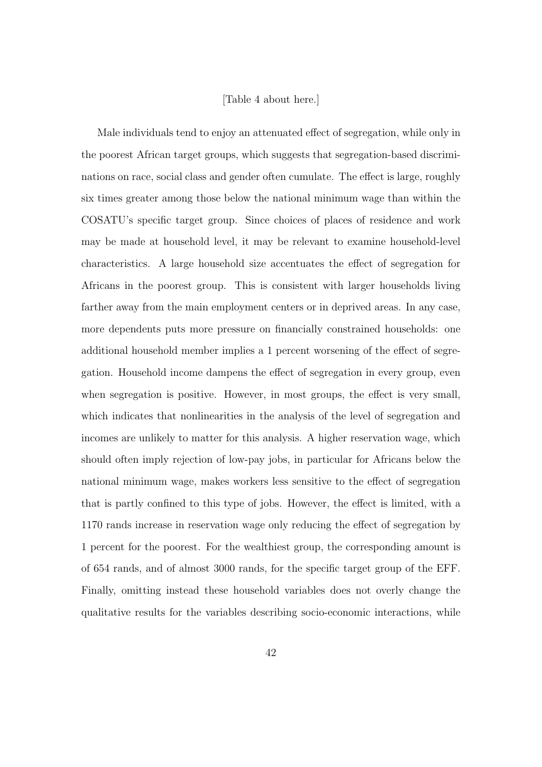#### [Table 4 about here.]

Male individuals tend to enjoy an attenuated effect of segregation, while only in the poorest African target groups, which suggests that segregation-based discriminations on race, social class and gender often cumulate. The effect is large, roughly six times greater among those below the national minimum wage than within the COSATU's specific target group. Since choices of places of residence and work may be made at household level, it may be relevant to examine household-level characteristics. A large household size accentuates the effect of segregation for Africans in the poorest group. This is consistent with larger households living farther away from the main employment centers or in deprived areas. In any case, more dependents puts more pressure on financially constrained households: one additional household member implies a 1 percent worsening of the effect of segregation. Household income dampens the effect of segregation in every group, even when segregation is positive. However, in most groups, the effect is very small, which indicates that nonlinearities in the analysis of the level of segregation and incomes are unlikely to matter for this analysis. A higher reservation wage, which should often imply rejection of low-pay jobs, in particular for Africans below the national minimum wage, makes workers less sensitive to the effect of segregation that is partly confined to this type of jobs. However, the effect is limited, with a 1170 rands increase in reservation wage only reducing the effect of segregation by 1 percent for the poorest. For the wealthiest group, the corresponding amount is of 654 rands, and of almost 3000 rands, for the specific target group of the EFF. Finally, omitting instead these household variables does not overly change the qualitative results for the variables describing socio-economic interactions, while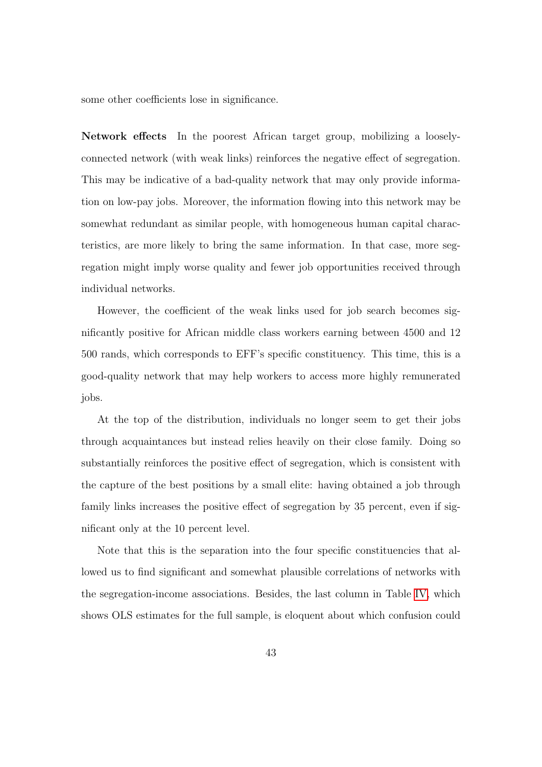some other coefficients lose in significance.

Network effects In the poorest African target group, mobilizing a looselyconnected network (with weak links) reinforces the negative effect of segregation. This may be indicative of a bad-quality network that may only provide information on low-pay jobs. Moreover, the information flowing into this network may be somewhat redundant as similar people, with homogeneous human capital characteristics, are more likely to bring the same information. In that case, more segregation might imply worse quality and fewer job opportunities received through individual networks.

However, the coefficient of the weak links used for job search becomes significantly positive for African middle class workers earning between 4500 and 12 500 rands, which corresponds to EFF's specific constituency. This time, this is a good-quality network that may help workers to access more highly remunerated jobs.

At the top of the distribution, individuals no longer seem to get their jobs through acquaintances but instead relies heavily on their close family. Doing so substantially reinforces the positive effect of segregation, which is consistent with the capture of the best positions by a small elite: having obtained a job through family links increases the positive effect of segregation by 35 percent, even if significant only at the 10 percent level.

Note that this is the separation into the four specific constituencies that allowed us to find significant and somewhat plausible correlations of networks with the segregation-income associations. Besides, the last column in Table [IV,](#page-62-0) which shows OLS estimates for the full sample, is eloquent about which confusion could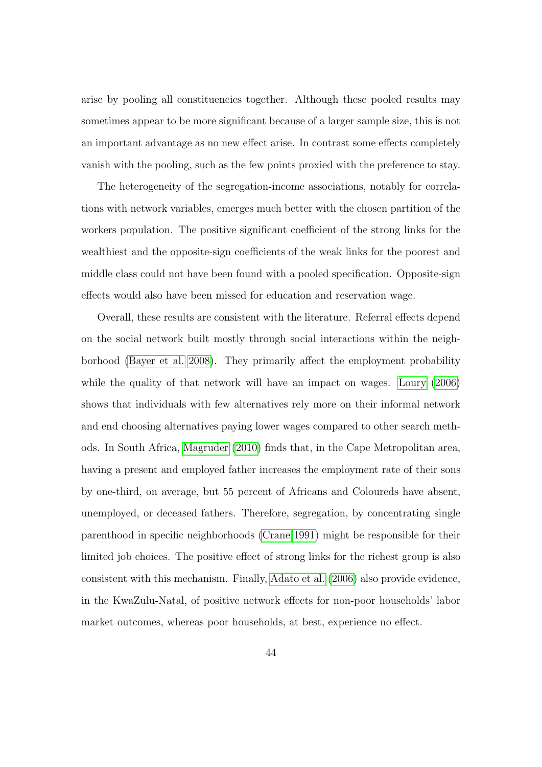arise by pooling all constituencies together. Although these pooled results may sometimes appear to be more significant because of a larger sample size, this is not an important advantage as no new effect arise. In contrast some effects completely vanish with the pooling, such as the few points proxied with the preference to stay.

The heterogeneity of the segregation-income associations, notably for correlations with network variables, emerges much better with the chosen partition of the workers population. The positive significant coefficient of the strong links for the wealthiest and the opposite-sign coefficients of the weak links for the poorest and middle class could not have been found with a pooled specification. Opposite-sign effects would also have been missed for education and reservation wage.

Overall, these results are consistent with the literature. Referral effects depend on the social network built mostly through social interactions within the neighborhood [\(Bayer et al. 2008\)](#page-52-7). They primarily affect the employment probability while the quality of that network will have an impact on wages. [Loury](#page-56-7) [\(2006\)](#page-56-7) shows that individuals with few alternatives rely more on their informal network and end choosing alternatives paying lower wages compared to other search methods. In South Africa, [Magruder](#page-56-2) [\(2010\)](#page-56-2) finds that, in the Cape Metropolitan area, having a present and employed father increases the employment rate of their sons by one-third, on average, but 55 percent of Africans and Coloureds have absent, unemployed, or deceased fathers. Therefore, segregation, by concentrating single parenthood in specific neighborhoods [\(Crane 1991\)](#page-54-6) might be responsible for their limited job choices. The positive effect of strong links for the richest group is also consistent with this mechanism. Finally, [Adato et al.](#page-51-0) [\(2006\)](#page-51-0) also provide evidence, in the KwaZulu-Natal, of positive network effects for non-poor households' labor market outcomes, whereas poor households, at best, experience no effect.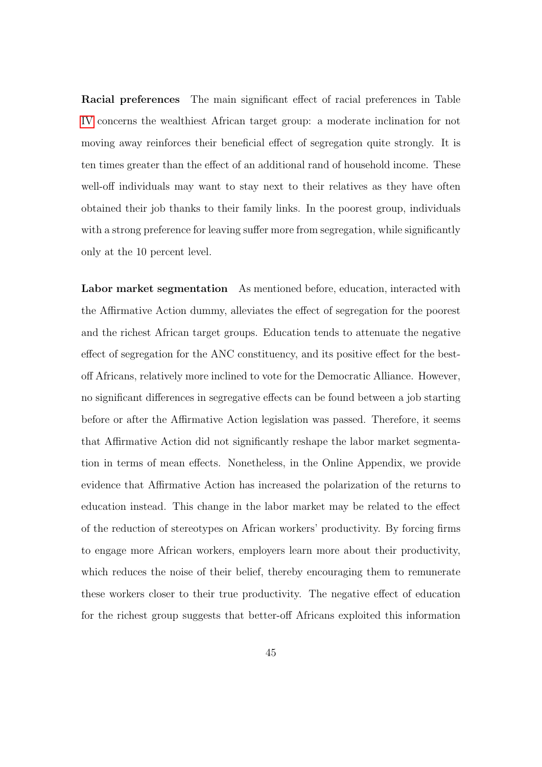Racial preferences The main significant effect of racial preferences in Table [IV](#page-62-0) concerns the wealthiest African target group: a moderate inclination for not moving away reinforces their beneficial effect of segregation quite strongly. It is ten times greater than the effect of an additional rand of household income. These well-off individuals may want to stay next to their relatives as they have often obtained their job thanks to their family links. In the poorest group, individuals with a strong preference for leaving suffer more from segregation, while significantly only at the 10 percent level.

Labor market segmentation As mentioned before, education, interacted with the Affirmative Action dummy, alleviates the effect of segregation for the poorest and the richest African target groups. Education tends to attenuate the negative effect of segregation for the ANC constituency, and its positive effect for the bestoff Africans, relatively more inclined to vote for the Democratic Alliance. However, no significant differences in segregative effects can be found between a job starting before or after the Affirmative Action legislation was passed. Therefore, it seems that Affirmative Action did not significantly reshape the labor market segmentation in terms of mean effects. Nonetheless, in the Online Appendix, we provide evidence that Affirmative Action has increased the polarization of the returns to education instead. This change in the labor market may be related to the effect of the reduction of stereotypes on African workers' productivity. By forcing firms to engage more African workers, employers learn more about their productivity, which reduces the noise of their belief, thereby encouraging them to remunerate these workers closer to their true productivity. The negative effect of education for the richest group suggests that better-off Africans exploited this information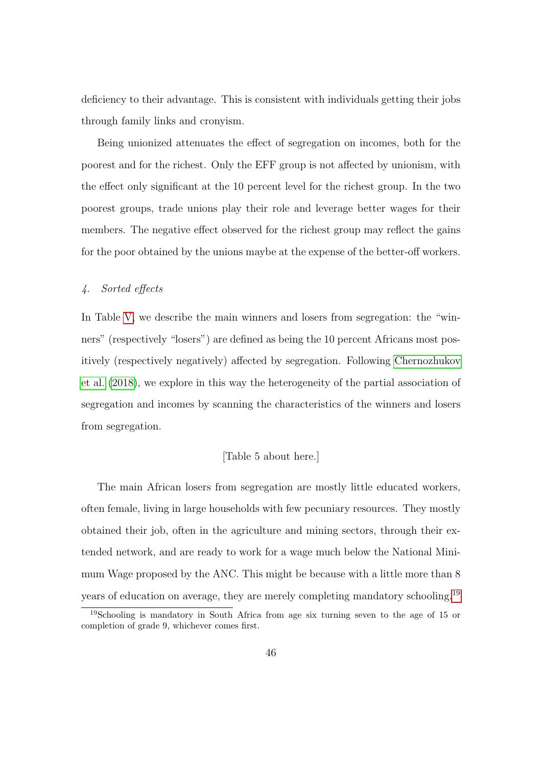deficiency to their advantage. This is consistent with individuals getting their jobs through family links and cronyism.

Being unionized attenuates the effect of segregation on incomes, both for the poorest and for the richest. Only the EFF group is not affected by unionism, with the effect only significant at the 10 percent level for the richest group. In the two poorest groups, trade unions play their role and leverage better wages for their members. The negative effect observed for the richest group may reflect the gains for the poor obtained by the unions maybe at the expense of the better-off workers.

#### 4. Sorted effects

In Table [V,](#page-63-0) we describe the main winners and losers from segregation: the "winners" (respectively "losers") are defined as being the 10 percent Africans most positively (respectively negatively) affected by segregation. Following [Chernozhukov](#page-53-2) [et al.](#page-53-2) [\(2018\)](#page-53-2), we explore in this way the heterogeneity of the partial association of segregation and incomes by scanning the characteristics of the winners and losers from segregation.

#### [Table 5 about here.]

The main African losers from segregation are mostly little educated workers, often female, living in large households with few pecuniary resources. They mostly obtained their job, often in the agriculture and mining sectors, through their extended network, and are ready to work for a wage much below the National Minimum Wage proposed by the ANC. This might be because with a little more than 8 years of education on average, they are merely completing mandatory schooling.[19](#page-1-0)

<sup>19</sup>Schooling is mandatory in South Africa from age six turning seven to the age of 15 or completion of grade 9, whichever comes first.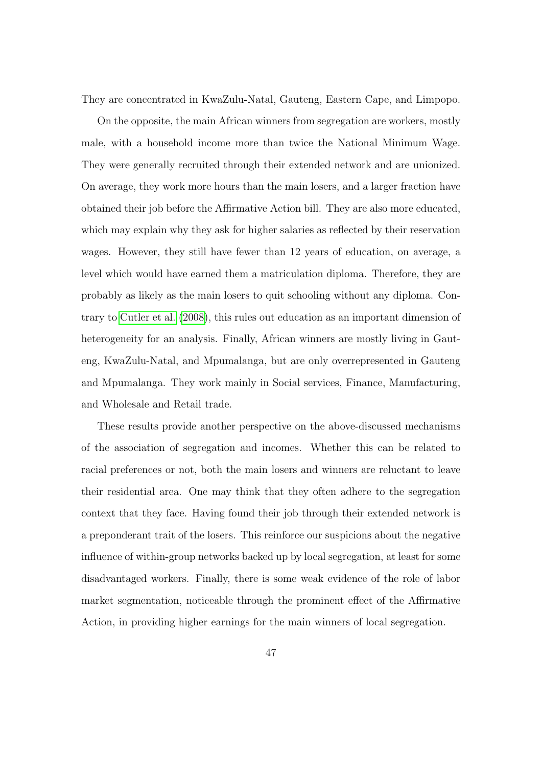They are concentrated in KwaZulu-Natal, Gauteng, Eastern Cape, and Limpopo.

On the opposite, the main African winners from segregation are workers, mostly male, with a household income more than twice the National Minimum Wage. They were generally recruited through their extended network and are unionized. On average, they work more hours than the main losers, and a larger fraction have obtained their job before the Affirmative Action bill. They are also more educated, which may explain why they ask for higher salaries as reflected by their reservation wages. However, they still have fewer than 12 years of education, on average, a level which would have earned them a matriculation diploma. Therefore, they are probably as likely as the main losers to quit schooling without any diploma. Contrary to [Cutler et al.](#page-54-2) [\(2008\)](#page-54-2), this rules out education as an important dimension of heterogeneity for an analysis. Finally, African winners are mostly living in Gauteng, KwaZulu-Natal, and Mpumalanga, but are only overrepresented in Gauteng and Mpumalanga. They work mainly in Social services, Finance, Manufacturing, and Wholesale and Retail trade.

These results provide another perspective on the above-discussed mechanisms of the association of segregation and incomes. Whether this can be related to racial preferences or not, both the main losers and winners are reluctant to leave their residential area. One may think that they often adhere to the segregation context that they face. Having found their job through their extended network is a preponderant trait of the losers. This reinforce our suspicions about the negative influence of within-group networks backed up by local segregation, at least for some disadvantaged workers. Finally, there is some weak evidence of the role of labor market segmentation, noticeable through the prominent effect of the Affirmative Action, in providing higher earnings for the main winners of local segregation.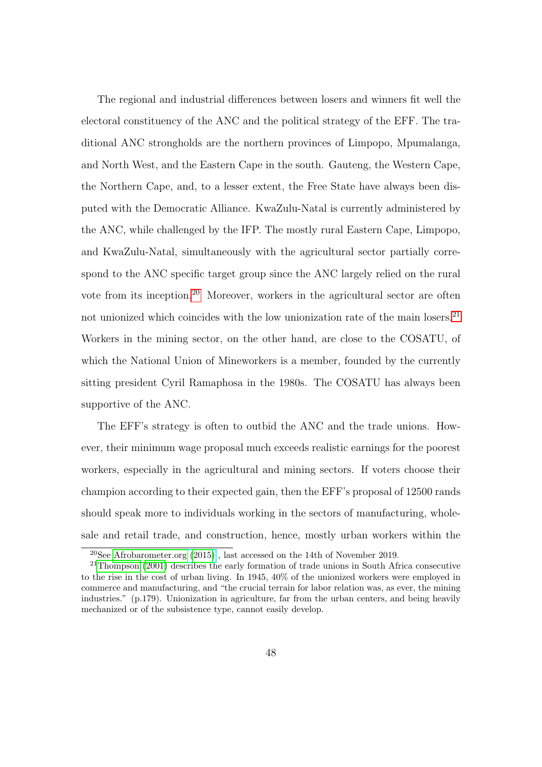The regional and industrial differences between losers and winners fit well the electoral constituency of the ANC and the political strategy of the EFF. The traditional ANC strongholds are the northern provinces of Limpopo, Mpumalanga, and North West, and the Eastern Cape in the south. Gauteng, the Western Cape, the Northern Cape, and, to a lesser extent, the Free State have always been disputed with the Democratic Alliance. KwaZulu-Natal is currently administered by the ANC, while challenged by the IFP. The mostly rural Eastern Cape, Limpopo, and KwaZulu-Natal, simultaneously with the agricultural sector partially correspond to the ANC specific target group since the ANC largely relied on the rural vote from its inception.[20](#page-1-0) Moreover, workers in the agricultural sector are often not unionized which coincides with the low unionization rate of the main losers.<sup>[21](#page-1-0)</sup> Workers in the mining sector, on the other hand, are close to the COSATU, of which the National Union of Mineworkers is a member, founded by the currently sitting president Cyril Ramaphosa in the 1980s. The COSATU has always been supportive of the ANC.

The EFF's strategy is often to outbid the ANC and the trade unions. However, their minimum wage proposal much exceeds realistic earnings for the poorest workers, especially in the agricultural and mining sectors. If voters choose their champion according to their expected gain, then the EFF's proposal of 12500 rands should speak more to individuals working in the sectors of manufacturing, wholesale and retail trade, and construction, hence, mostly urban workers within the

<sup>&</sup>lt;sup>20</sup>See Afrobarometer.org  $(2015)$ , last accessed on the 14th of November 2019.

 $21$ [Thompson](#page-58-3) [\(2001\)](#page-58-3) describes the early formation of trade unions in South Africa consecutive to the rise in the cost of urban living. In 1945, 40% of the unionized workers were employed in commerce and manufacturing, and "the crucial terrain for labor relation was, as ever, the mining industries." (p.179). Unionization in agriculture, far from the urban centers, and being heavily mechanized or of the subsistence type, cannot easily develop.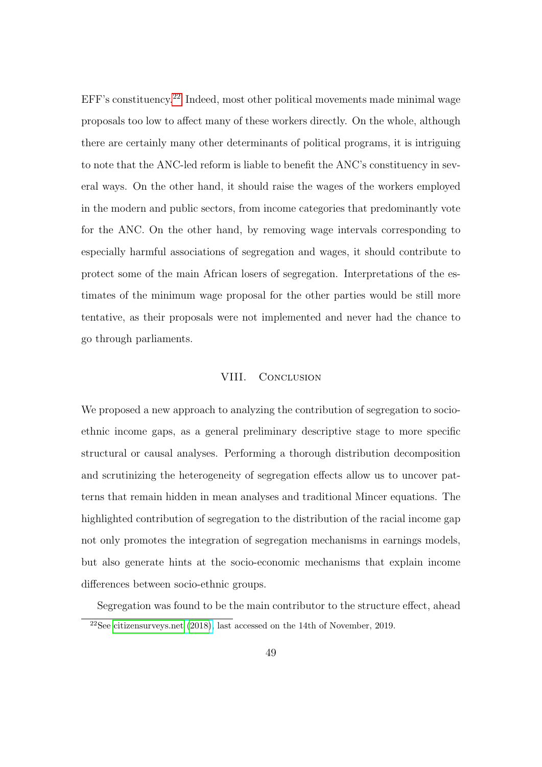EFF's constituency.[22](#page-1-0) Indeed, most other political movements made minimal wage proposals too low to affect many of these workers directly. On the whole, although there are certainly many other determinants of political programs, it is intriguing to note that the ANC-led reform is liable to benefit the ANC's constituency in several ways. On the other hand, it should raise the wages of the workers employed in the modern and public sectors, from income categories that predominantly vote for the ANC. On the other hand, by removing wage intervals corresponding to especially harmful associations of segregation and wages, it should contribute to protect some of the main African losers of segregation. Interpretations of the estimates of the minimum wage proposal for the other parties would be still more tentative, as their proposals were not implemented and never had the chance to go through parliaments.

#### VIII. Conclusion

We proposed a new approach to analyzing the contribution of segregation to socioethnic income gaps, as a general preliminary descriptive stage to more specific structural or causal analyses. Performing a thorough distribution decomposition and scrutinizing the heterogeneity of segregation effects allow us to uncover patterns that remain hidden in mean analyses and traditional Mincer equations. The highlighted contribution of segregation to the distribution of the racial income gap not only promotes the integration of segregation mechanisms in earnings models, but also generate hints at the socio-economic mechanisms that explain income differences between socio-ethnic groups.

Segregation was found to be the main contributor to the structure effect, ahead <sup>22</sup>See [citizensurveys.net \(2018\),](https://citizensurveys.net/citizen-surveys-how-many-white-eff-supporters-exist-and-11-other-stats/) last accessed on the 14th of November, 2019.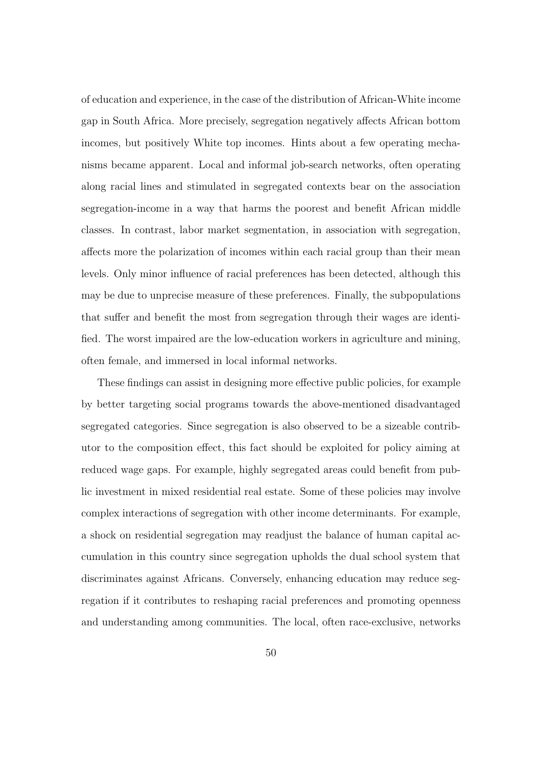of education and experience, in the case of the distribution of African-White income gap in South Africa. More precisely, segregation negatively affects African bottom incomes, but positively White top incomes. Hints about a few operating mechanisms became apparent. Local and informal job-search networks, often operating along racial lines and stimulated in segregated contexts bear on the association segregation-income in a way that harms the poorest and benefit African middle classes. In contrast, labor market segmentation, in association with segregation, affects more the polarization of incomes within each racial group than their mean levels. Only minor influence of racial preferences has been detected, although this may be due to unprecise measure of these preferences. Finally, the subpopulations that suffer and benefit the most from segregation through their wages are identified. The worst impaired are the low-education workers in agriculture and mining, often female, and immersed in local informal networks.

These findings can assist in designing more effective public policies, for example by better targeting social programs towards the above-mentioned disadvantaged segregated categories. Since segregation is also observed to be a sizeable contributor to the composition effect, this fact should be exploited for policy aiming at reduced wage gaps. For example, highly segregated areas could benefit from public investment in mixed residential real estate. Some of these policies may involve complex interactions of segregation with other income determinants. For example, a shock on residential segregation may readjust the balance of human capital accumulation in this country since segregation upholds the dual school system that discriminates against Africans. Conversely, enhancing education may reduce segregation if it contributes to reshaping racial preferences and promoting openness and understanding among communities. The local, often race-exclusive, networks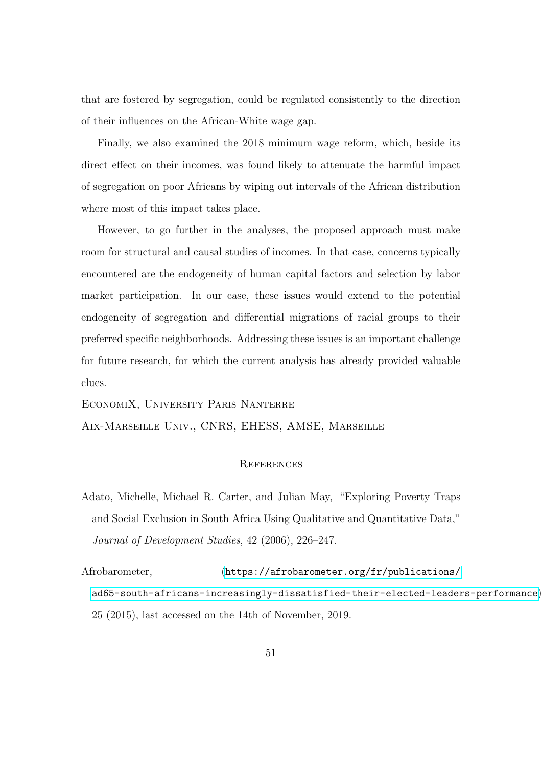that are fostered by segregation, could be regulated consistently to the direction of their influences on the African-White wage gap.

Finally, we also examined the 2018 minimum wage reform, which, beside its direct effect on their incomes, was found likely to attenuate the harmful impact of segregation on poor Africans by wiping out intervals of the African distribution where most of this impact takes place.

However, to go further in the analyses, the proposed approach must make room for structural and causal studies of incomes. In that case, concerns typically encountered are the endogeneity of human capital factors and selection by labor market participation. In our case, these issues would extend to the potential endogeneity of segregation and differential migrations of racial groups to their preferred specific neighborhoods. Addressing these issues is an important challenge for future research, for which the current analysis has already provided valuable clues.

EconomiX, University Paris Nanterre

Aix-Marseille Univ., CNRS, EHESS, AMSE, Marseille

#### **REFERENCES**

- <span id="page-51-0"></span>Adato, Michelle, Michael R. Carter, and Julian May, "Exploring Poverty Traps and Social Exclusion in South Africa Using Qualitative and Quantitative Data," Journal of Development Studies, 42 (2006), 226–247.
- <span id="page-51-1"></span>Afrobarometer, ([https://afrobarometer.org/fr/publications/](https://afrobarometer.org/fr/publications/ad65-south-africans-increasingly-dissatisfied-their-elected-leaders-performance) [ad65-south-africans-increasingly-dissatisfied-their-elected-leaders-performance](https://afrobarometer.org/fr/publications/ad65-south-africans-increasingly-dissatisfied-their-elected-leaders-performance)), 25 (2015), last accessed on the 14th of November, 2019.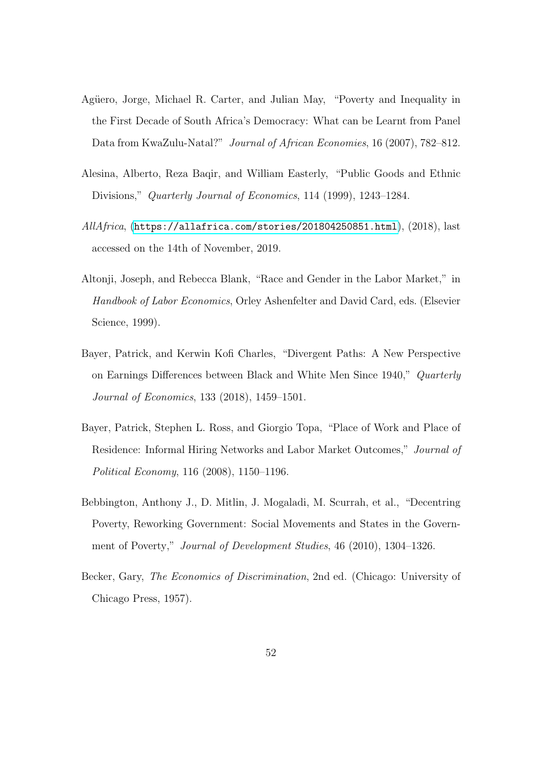- <span id="page-52-5"></span>Agüero, Jorge, Michael R. Carter, and Julian May, "Poverty and Inequality in the First Decade of South Africa's Democracy: What can be Learnt from Panel Data from KwaZulu-Natal?" Journal of African Economies, 16 (2007), 782–812.
- <span id="page-52-2"></span>Alesina, Alberto, Reza Baqir, and William Easterly, "Public Goods and Ethnic Divisions," Quarterly Journal of Economics, 114 (1999), 1243–1284.
- <span id="page-52-6"></span>AllAfrica, (<https://allafrica.com/stories/201804250851.html>), (2018), last accessed on the 14th of November, 2019.
- <span id="page-52-1"></span>Altonji, Joseph, and Rebecca Blank, "Race and Gender in the Labor Market," in Handbook of Labor Economics, Orley Ashenfelter and David Card, eds. (Elsevier Science, 1999).
- <span id="page-52-0"></span>Bayer, Patrick, and Kerwin Kofi Charles, "Divergent Paths: A New Perspective on Earnings Differences between Black and White Men Since 1940," Quarterly Journal of Economics, 133 (2018), 1459–1501.
- <span id="page-52-7"></span>Bayer, Patrick, Stephen L. Ross, and Giorgio Topa, "Place of Work and Place of Residence: Informal Hiring Networks and Labor Market Outcomes," Journal of Political Economy, 116 (2008), 1150–1196.
- <span id="page-52-4"></span>Bebbington, Anthony J., D. Mitlin, J. Mogaladi, M. Scurrah, et al., "Decentring Poverty, Reworking Government: Social Movements and States in the Government of Poverty," Journal of Development Studies, 46 (2010), 1304–1326.
- <span id="page-52-3"></span>Becker, Gary, The Economics of Discrimination, 2nd ed. (Chicago: University of Chicago Press, 1957).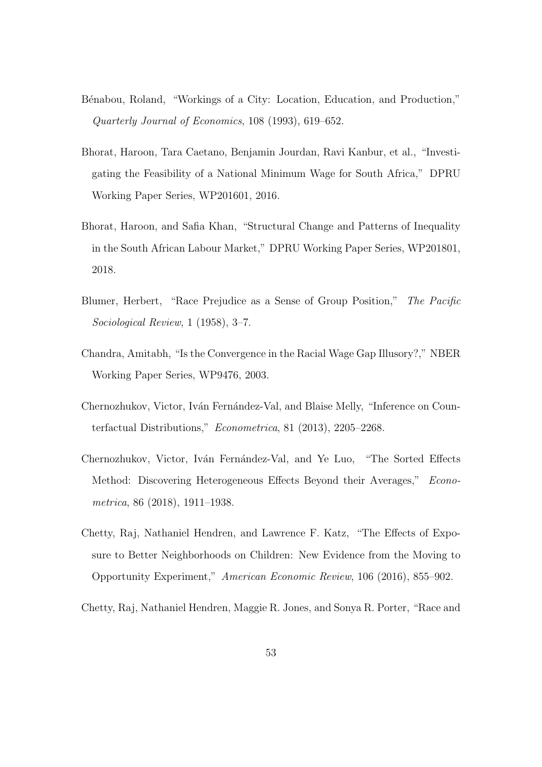- <span id="page-53-4"></span>Bénabou, Roland, "Workings of a City: Location, Education, and Production," Quarterly Journal of Economics, 108 (1993), 619–652.
- <span id="page-53-6"></span>Bhorat, Haroon, Tara Caetano, Benjamin Jourdan, Ravi Kanbur, et al., "Investigating the Feasibility of a National Minimum Wage for South Africa," DPRU Working Paper Series, WP201601, 2016.
- <span id="page-53-5"></span>Bhorat, Haroon, and Safia Khan, "Structural Change and Patterns of Inequality in the South African Labour Market," DPRU Working Paper Series, WP201801, 2018.
- <span id="page-53-3"></span>Blumer, Herbert, "Race Prejudice as a Sense of Group Position," The Pacific Sociological Review, 1 (1958), 3–7.
- Chandra, Amitabh, "Is the Convergence in the Racial Wage Gap Illusory?," NBER Working Paper Series, WP9476, 2003.
- <span id="page-53-7"></span>Chernozhukov, Victor, Iván Fernández-Val, and Blaise Melly, "Inference on Counterfactual Distributions," Econometrica, 81 (2013), 2205–2268.
- <span id="page-53-2"></span>Chernozhukov, Victor, Iván Fernández-Val, and Ye Luo, "The Sorted Effects Method: Discovering Heterogeneous Effects Beyond their Averages," Econometrica, 86 (2018), 1911–1938.
- <span id="page-53-1"></span>Chetty, Raj, Nathaniel Hendren, and Lawrence F. Katz, "The Effects of Exposure to Better Neighborhoods on Children: New Evidence from the Moving to Opportunity Experiment," American Economic Review, 106 (2016), 855–902.

<span id="page-53-0"></span>Chetty, Raj, Nathaniel Hendren, Maggie R. Jones, and Sonya R. Porter, "Race and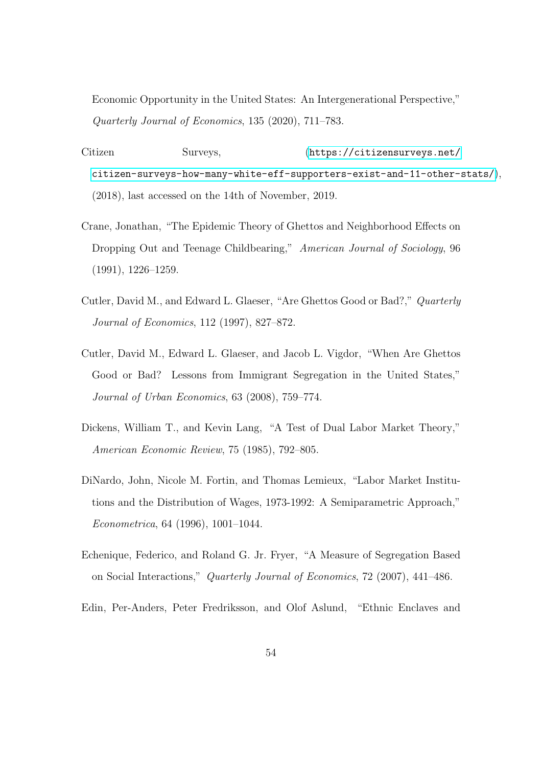Economic Opportunity in the United States: An Intergenerational Perspective," Quarterly Journal of Economics, 135 (2020), 711–783.

- <span id="page-54-5"></span>Citizen Surveys, ([https://citizensurveys.net/](https://citizensurveys.net/citizen-surveys-how-many-white-eff-supporters-exist-and-11-other-stats/) [citizen-surveys-how-many-white-eff-supporters-exist-and-11-other-stats/](https://citizensurveys.net/citizen-surveys-how-many-white-eff-supporters-exist-and-11-other-stats/)), (2018), last accessed on the 14th of November, 2019.
- <span id="page-54-6"></span>Crane, Jonathan, "The Epidemic Theory of Ghettos and Neighborhood Effects on Dropping Out and Teenage Childbearing," American Journal of Sociology, 96 (1991), 1226–1259.
- <span id="page-54-0"></span>Cutler, David M., and Edward L. Glaeser, "Are Ghettos Good or Bad?," Quarterly Journal of Economics, 112 (1997), 827–872.
- <span id="page-54-2"></span>Cutler, David M., Edward L. Glaeser, and Jacob L. Vigdor, "When Are Ghettos Good or Bad? Lessons from Immigrant Segregation in the United States," Journal of Urban Economics, 63 (2008), 759–774.
- <span id="page-54-3"></span>Dickens, William T., and Kevin Lang, "A Test of Dual Labor Market Theory," American Economic Review, 75 (1985), 792–805.
- <span id="page-54-4"></span>DiNardo, John, Nicole M. Fortin, and Thomas Lemieux, "Labor Market Institutions and the Distribution of Wages, 1973-1992: A Semiparametric Approach," Econometrica, 64 (1996), 1001–1044.
- Echenique, Federico, and Roland G. Jr. Fryer, "A Measure of Segregation Based on Social Interactions," Quarterly Journal of Economics, 72 (2007), 441–486.
- <span id="page-54-1"></span>Edin, Per-Anders, Peter Fredriksson, and Olof Aslund, "Ethnic Enclaves and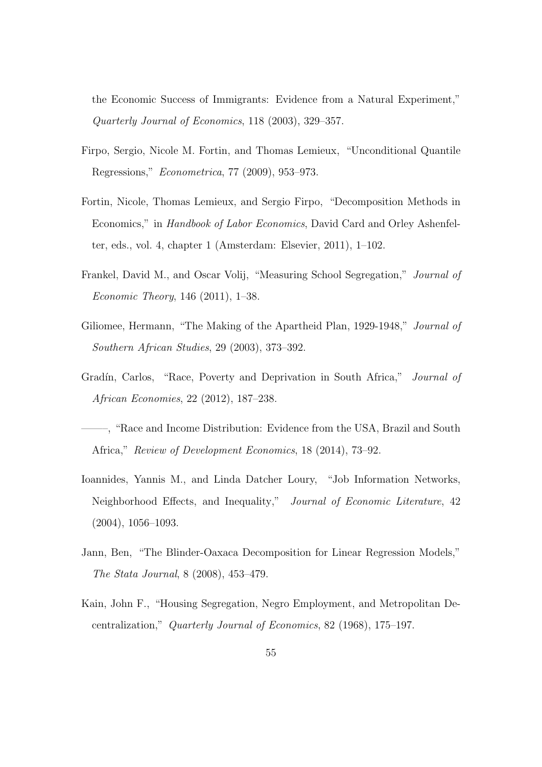the Economic Success of Immigrants: Evidence from a Natural Experiment," Quarterly Journal of Economics, 118 (2003), 329–357.

- <span id="page-55-3"></span>Firpo, Sergio, Nicole M. Fortin, and Thomas Lemieux, "Unconditional Quantile Regressions," Econometrica, 77 (2009), 953–973.
- <span id="page-55-4"></span>Fortin, Nicole, Thomas Lemieux, and Sergio Firpo, "Decomposition Methods in Economics," in Handbook of Labor Economics, David Card and Orley Ashenfelter, eds., vol. 4, chapter 1 (Amsterdam: Elsevier, 2011), 1–102.
- <span id="page-55-6"></span>Frankel, David M., and Oscar Volij, "Measuring School Segregation," Journal of Economic Theory, 146 (2011), 1–38.
- <span id="page-55-8"></span>Giliomee, Hermann, "The Making of the Apartheid Plan, 1929-1948," *Journal of* Southern African Studies, 29 (2003), 373–392.
- <span id="page-55-1"></span>Gradín, Carlos, "Race, Poverty and Deprivation in South Africa," *Journal of* African Economies, 22 (2012), 187–238.
- <span id="page-55-2"></span>——–, "Race and Income Distribution: Evidence from the USA, Brazil and South Africa," Review of Development Economics, 18 (2014), 73–92.
- <span id="page-55-5"></span>Ioannides, Yannis M., and Linda Datcher Loury, "Job Information Networks, Neighborhood Effects, and Inequality," Journal of Economic Literature, 42 (2004), 1056–1093.
- <span id="page-55-7"></span>Jann, Ben, "The Blinder-Oaxaca Decomposition for Linear Regression Models," The Stata Journal, 8 (2008), 453–479.
- <span id="page-55-0"></span>Kain, John F., "Housing Segregation, Negro Employment, and Metropolitan Decentralization," Quarterly Journal of Economics, 82 (1968), 175–197.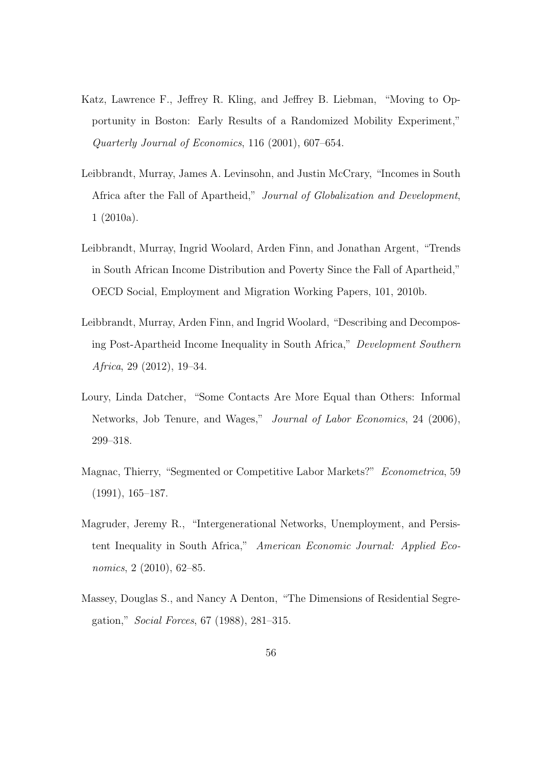- <span id="page-56-1"></span>Katz, Lawrence F., Jeffrey R. Kling, and Jeffrey B. Liebman, "Moving to Opportunity in Boston: Early Results of a Randomized Mobility Experiment," Quarterly Journal of Economics, 116 (2001), 607–654.
- <span id="page-56-5"></span>Leibbrandt, Murray, James A. Levinsohn, and Justin McCrary, "Incomes in South Africa after the Fall of Apartheid," Journal of Globalization and Development, 1 (2010a).
- <span id="page-56-0"></span>Leibbrandt, Murray, Ingrid Woolard, Arden Finn, and Jonathan Argent, "Trends in South African Income Distribution and Poverty Since the Fall of Apartheid," OECD Social, Employment and Migration Working Papers, 101, 2010b.
- <span id="page-56-6"></span>Leibbrandt, Murray, Arden Finn, and Ingrid Woolard, "Describing and Decomposing Post-Apartheid Income Inequality in South Africa," Development Southern Africa, 29 (2012), 19–34.
- <span id="page-56-7"></span>Loury, Linda Datcher, "Some Contacts Are More Equal than Others: Informal Networks, Job Tenure, and Wages," Journal of Labor Economics, 24 (2006), 299–318.
- <span id="page-56-3"></span>Magnac, Thierry, "Segmented or Competitive Labor Markets?" *Econometrica*, 59 (1991), 165–187.
- <span id="page-56-2"></span>Magruder, Jeremy R., "Intergenerational Networks, Unemployment, and Persistent Inequality in South Africa," American Economic Journal: Applied Economics, 2 (2010), 62–85.
- <span id="page-56-4"></span>Massey, Douglas S., and Nancy A Denton, "The Dimensions of Residential Segregation," Social Forces, 67 (1988), 281–315.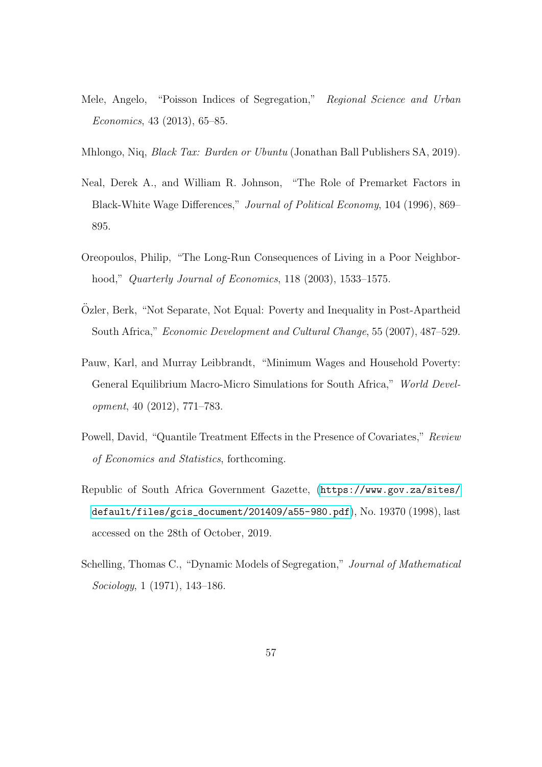- Mele, Angelo, "Poisson Indices of Segregation," Regional Science and Urban Economics, 43 (2013), 65–85.
- <span id="page-57-2"></span>Mhlongo, Niq, Black Tax: Burden or Ubuntu (Jonathan Ball Publishers SA, 2019).
- <span id="page-57-3"></span>Neal, Derek A., and William R. Johnson, "The Role of Premarket Factors in Black-White Wage Differences," Journal of Political Economy, 104 (1996), 869– 895.
- <span id="page-57-0"></span>Oreopoulos, Philip, "The Long-Run Consequences of Living in a Poor Neighborhood," *Quarterly Journal of Economics*, 118 (2003), 1533–1575.
- <span id="page-57-4"></span>Ozler, Berk, "Not Separate, Not Equal: Poverty and Inequality in Post-Apartheid ¨ South Africa," Economic Development and Cultural Change, 55 (2007), 487–529.
- <span id="page-57-5"></span>Pauw, Karl, and Murray Leibbrandt, "Minimum Wages and Household Poverty: General Equilibrium Macro-Micro Simulations for South Africa," World Development, 40 (2012), 771–783.
- Powell, David, "Quantile Treatment Effects in the Presence of Covariates," Review of Economics and Statistics, forthcoming.
- <span id="page-57-6"></span>Republic of South Africa Government Gazette, ([https://www.gov.za/sites/](https://www.gov.za/sites/default/files/gcis_document/201409/a55-980.pdf) [default/files/gcis\\_document/201409/a55-980.pdf](https://www.gov.za/sites/default/files/gcis_document/201409/a55-980.pdf)), No. 19370 (1998), last accessed on the 28th of October, 2019.
- <span id="page-57-1"></span>Schelling, Thomas C., "Dynamic Models of Segregation," Journal of Mathematical Sociology, 1 (1971), 143–186.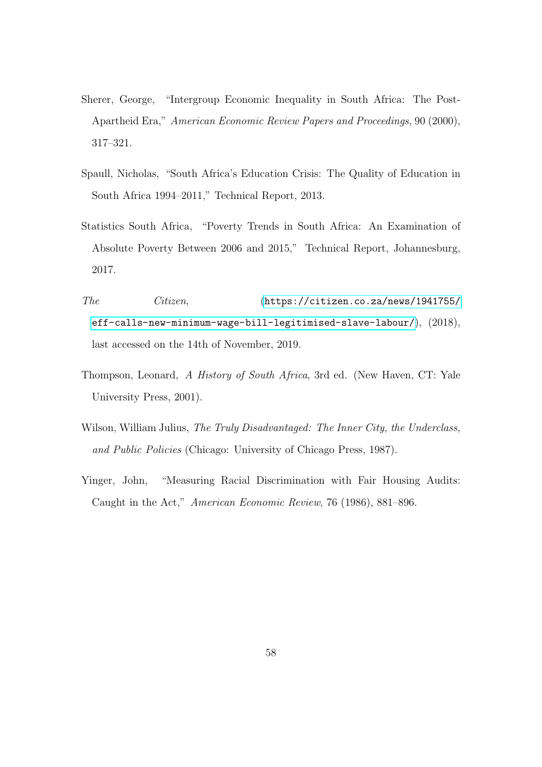- <span id="page-58-0"></span>Sherer, George, "Intergroup Economic Inequality in South Africa: The Post-Apartheid Era," American Economic Review Papers and Proceedings, 90 (2000), 317–321.
- <span id="page-58-5"></span>Spaull, Nicholas, "South Africa's Education Crisis: The Quality of Education in South Africa 1994–2011," Technical Report, 2013.
- <span id="page-58-4"></span>Statistics South Africa, "Poverty Trends in South Africa: An Examination of Absolute Poverty Between 2006 and 2015," Technical Report, Johannesburg, 2017.
- <span id="page-58-6"></span>The Citizen, ([https://citizen.co.za/news/1941755/](https://citizen.co.za/news/1941755/eff-calls-new-minimum-wage-bill-legitimised-slave-labour/) [eff-calls-new-minimum-wage-bill-legitimised-slave-labour/](https://citizen.co.za/news/1941755/eff-calls-new-minimum-wage-bill-legitimised-slave-labour/)), (2018), last accessed on the 14th of November, 2019.
- <span id="page-58-3"></span>Thompson, Leonard, A History of South Africa, 3rd ed. (New Haven, CT: Yale University Press, 2001).
- <span id="page-58-2"></span>Wilson, William Julius, The Truly Disadvantaged: The Inner City, the Underclass, and Public Policies (Chicago: University of Chicago Press, 1987).
- <span id="page-58-1"></span>Yinger, John, "Measuring Racial Discrimination with Fair Housing Audits: Caught in the Act," American Economic Review, 76 (1986), 881–896.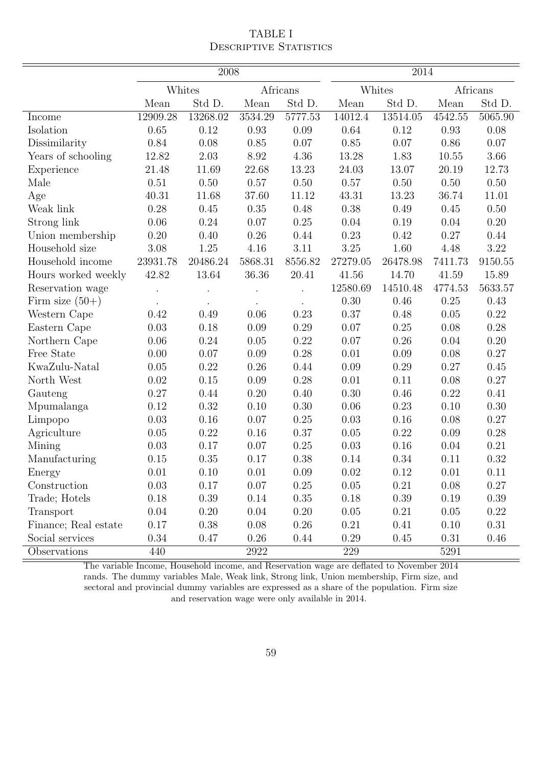| <b>TABLE I</b>                |
|-------------------------------|
| <b>DESCRIPTIVE STATISTICS</b> |

<span id="page-59-0"></span>

|                      | 2008     |          |                       |          | 2014     |          |          |          |  |
|----------------------|----------|----------|-----------------------|----------|----------|----------|----------|----------|--|
|                      | Whites   |          | Africans              |          | Whites   |          | Africans |          |  |
|                      | Mean     | Std D.   | $\operatorname{Mean}$ | Std D.   | Mean     | Std D.   | Mean     | Std D.   |  |
| Income               | 12909.28 | 13268.02 | 3534.29               | 5777.53  | 14012.4  | 13514.05 | 4542.55  | 5065.90  |  |
| Isolation            | 0.65     | 0.12     | 0.93                  | 0.09     | 0.64     | $0.12\,$ | 0.93     | 0.08     |  |
| Dissimilarity        | 0.84     | 0.08     | 0.85                  | 0.07     | 0.85     | 0.07     | 0.86     | $0.07\,$ |  |
| Years of schooling   | 12.82    | 2.03     | 8.92                  | 4.36     | 13.28    | 1.83     | 10.55    | 3.66     |  |
| Experience           | 21.48    | 11.69    | 22.68                 | 13.23    | 24.03    | 13.07    | 20.19    | 12.73    |  |
| Male                 | 0.51     | 0.50     | 0.57                  | $0.50\,$ | 0.57     | $0.50\,$ | $0.50\,$ | $0.50\,$ |  |
| Age                  | 40.31    | 11.68    | 37.60                 | 11.12    | 43.31    | 13.23    | 36.74    | 11.01    |  |
| Weak link            | 0.28     | 0.45     | 0.35                  | 0.48     | 0.38     | 0.49     | 0.45     | $0.50\,$ |  |
| Strong link          | 0.06     | 0.24     | 0.07                  | 0.25     | 0.04     | 0.19     | 0.04     | 0.20     |  |
| Union membership     | 0.20     | 0.40     | 0.26                  | 0.44     | 0.23     | 0.42     | 0.27     | 0.44     |  |
| Household size       | 3.08     | 1.25     | 4.16                  | 3.11     | 3.25     | 1.60     | 4.48     | 3.22     |  |
| Household income     | 23931.78 | 20486.24 | 5868.31               | 8556.82  | 27279.05 | 26478.98 | 7411.73  | 9150.55  |  |
| Hours worked weekly  | 42.82    | 13.64    | 36.36                 | 20.41    | 41.56    | 14.70    | 41.59    | 15.89    |  |
| Reservation wage     |          |          |                       |          | 12580.69 | 14510.48 | 4774.53  | 5633.57  |  |
| Firm size $(50+)$    |          |          |                       |          | 0.30     | 0.46     | 0.25     | 0.43     |  |
| Western Cape         | 0.42     | 0.49     | 0.06                  | 0.23     | 0.37     | 0.48     | 0.05     | 0.22     |  |
| Eastern Cape         | 0.03     | 0.18     | 0.09                  | 0.29     | 0.07     | $0.25\,$ | 0.08     | 0.28     |  |
| Northern Cape        | 0.06     | 0.24     | 0.05                  | 0.22     | 0.07     | 0.26     | 0.04     | 0.20     |  |
| Free State           | 0.00     | 0.07     | 0.09                  | 0.28     | 0.01     | 0.09     | 0.08     | 0.27     |  |
| KwaZulu-Natal        | 0.05     | 0.22     | 0.26                  | 0.44     | 0.09     | 0.29     | 0.27     | 0.45     |  |
| North West           | 0.02     | 0.15     | 0.09                  | 0.28     | 0.01     | 0.11     | 0.08     | 0.27     |  |
| Gauteng              | 0.27     | 0.44     | 0.20                  | 0.40     | 0.30     | 0.46     | 0.22     | 0.41     |  |
| Mpumalanga           | 0.12     | 0.32     | 0.10                  | 0.30     | 0.06     | 0.23     | 0.10     | 0.30     |  |
| Limpopo              | 0.03     | 0.16     | 0.07                  | 0.25     | 0.03     | 0.16     | 0.08     | 0.27     |  |
| Agriculture          | 0.05     | 0.22     | 0.16                  | 0.37     | 0.05     | 0.22     | 0.09     | 0.28     |  |
| Mining               | 0.03     | 0.17     | 0.07                  | 0.25     | 0.03     | 0.16     | 0.04     | 0.21     |  |
| Manufacturing        | 0.15     | 0.35     | 0.17                  | 0.38     | 0.14     | 0.34     | 0.11     | 0.32     |  |
| Energy               | 0.01     | 0.10     | 0.01                  | 0.09     | 0.02     | 0.12     | 0.01     | 0.11     |  |
| Construction         | 0.03     | 0.17     | 0.07                  | $0.25\,$ | $0.05\,$ | 0.21     | 0.08     | 0.27     |  |
| Trade; Hotels        | 0.18     | 0.39     | 0.14                  | 0.35     | 0.18     | 0.39     | 0.19     | 0.39     |  |
| Transport            | 0.04     | 0.20     | 0.04                  | 0.20     | 0.05     | 0.21     | 0.05     | 0.22     |  |
| Finance; Real estate | 0.17     | 0.38     | 0.08                  | $0.26\,$ | 0.21     | 0.41     | 0.10     | 0.31     |  |
| Social services      | 0.34     | 0.47     | 0.26                  | 0.44     | 0.29     | 0.45     | 0.31     | 0.46     |  |
| Observations         | 440      |          | 2922                  |          | 229      |          | 5291     |          |  |

The variable Income, Household income, and Reservation wage are deflated to November 2014 rands. The dummy variables Male, Weak link, Strong link, Union membership, Firm size, and sectoral and provincial dummy variables are expressed as a share of the population. Firm size and reservation wage were only available in 2014.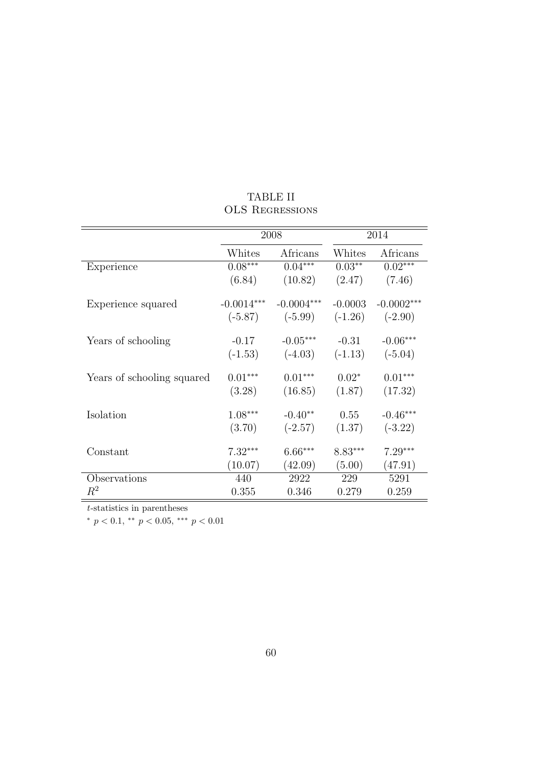<span id="page-60-0"></span>

|                            |              | 2008         |           | 2014         |
|----------------------------|--------------|--------------|-----------|--------------|
|                            | Whites       | Africans     | Whites    | Africans     |
| Experience                 | $0.08***$    | $0.04***$    | $0.03**$  | $0.02***$    |
|                            | (6.84)       | (10.82)      | (2.47)    | (7.46)       |
| Experience squared         | $-0.0014***$ | $-0.0004***$ | $-0.0003$ | $-0.0002***$ |
|                            | $(-5.87)$    | $(-5.99)$    | $(-1.26)$ | $(-2.90)$    |
| Years of schooling         | $-0.17$      | $-0.05***$   | $-0.31$   | $-0.06***$   |
|                            | $(-1.53)$    | $(-4.03)$    | $(-1.13)$ | $(-5.04)$    |
| Years of schooling squared | $0.01***$    | $0.01***$    | $0.02*$   | $0.01***$    |
|                            | (3.28)       | (16.85)      | (1.87)    | (17.32)      |
| Isolation                  | $1.08***$    | $-0.40**$    | 0.55      | $-0.46***$   |
|                            | (3.70)       | $(-2.57)$    | (1.37)    | $(-3.22)$    |
| Constant                   | $7.32***$    | $6.66***$    | 8.83***   | $7.29***$    |
|                            | (10.07)      | (42.09)      | (5.00)    | (47.91)      |
| Observations               | 440          | 2922         | 229       | 5291         |
| $R^2$                      | 0.355        | 0.346        | 0.279     | 0.259        |

### TABLE II OLS REGRESSIONS

 $t$ -statistics in parentheses  $\overline{\phantom{t}}$ 

 $^{*}$   $p$   $<$   $0.1,$   $^{**}$   $p$   $<$   $0.05,$   $^{***}$   $p$   $<$   $0.01$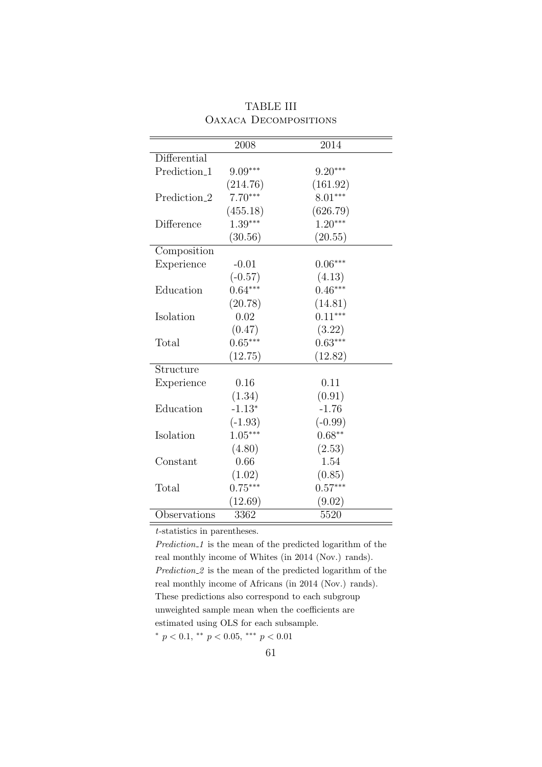<span id="page-61-0"></span>

|                          | 2008      | 2014      |
|--------------------------|-----------|-----------|
| Differential             |           |           |
| Prediction <sub>-1</sub> | $9.09***$ | $9.20***$ |
|                          | (214.76)  | (161.92)  |
| Prediction <sub>-2</sub> | $7.70***$ | $8.01***$ |
|                          | (455.18)  | (626.79)  |
| Difference               | $1.39***$ | $1.20***$ |
|                          | (30.56)   | (20.55)   |
| Composition              |           |           |
| Experience               | $-0.01$   | $0.06***$ |
|                          | $(-0.57)$ | (4.13)    |
| Education                | $0.64***$ | $0.46***$ |
|                          | (20.78)   | (14.81)   |
| Isolation                | 0.02      | $0.11***$ |
|                          | (0.47)    | (3.22)    |
| Total                    | $0.65***$ | $0.63***$ |
|                          | (12.75)   | (12.82)   |
| Structure                |           |           |
| Experience               | 0.16      | 0.11      |
|                          | (1.34)    | (0.91)    |
| Education                | $-1.13*$  | $-1.76$   |
|                          | $(-1.93)$ | $(-0.99)$ |
| Isolation                | $1.05***$ | $0.68**$  |
|                          | (4.80)    | (2.53)    |
| Constant                 | 0.66      | 1.54      |
|                          | (1.02)    | (0.85)    |
| Total                    | $0.75***$ | $0.57***$ |
|                          | (12.69)   | (9.02)    |
| Observations             | 3362      | 5520      |

TABLE III Oaxaca Decompositions

t-statistics in parentheses.

 $Prediction_1$  is the mean of the predicted logarithm of the real monthly income of Whites (in 2014 (Nov.) rands).  $\textit{Prediction\_2}$  is the mean of the predicted logarithm of the real monthly income of Africans (in 2014 (Nov.) rands). These predictions also correspond to each subgroup unweighted sample mean when the coefficients are estimated using OLS for each subsample. \*  $p < 0.1$ , \*\*  $p < 0.05$ , \*\*\*  $p < 0.01$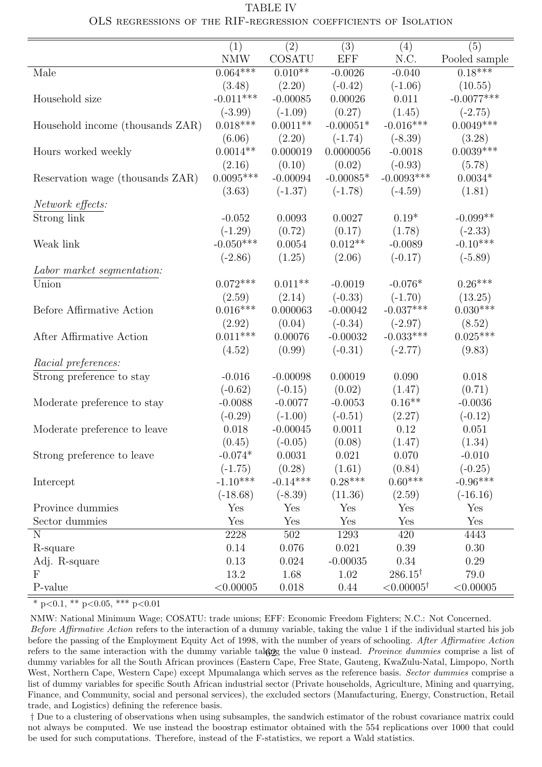<span id="page-62-0"></span>

|                                  | (1)         | (2)           | $\overline{(3)}$ | (4)                   | (5)           |
|----------------------------------|-------------|---------------|------------------|-----------------------|---------------|
|                                  | <b>NMW</b>  | <b>COSATU</b> | <b>EFF</b>       | N.C.                  | Pooled sample |
| Male                             | $0.064***$  | $0.010**$     | $-0.0026$        | $-0.040$              | $0.18***$     |
|                                  | (3.48)      | (2.20)        | $(-0.42)$        | $(-1.06)$             | (10.55)       |
| Household size                   | $-0.011***$ | $-0.00085$    | 0.00026          | 0.011                 | $-0.0077***$  |
|                                  | $(-3.99)$   | $(-1.09)$     | (0.27)           | (1.45)                | $(-2.75)$     |
| Household income (thousands ZAR) | $0.018***$  | $0.0011**$    | $-0.00051*$      | $-0.016***$           | $0.0049***$   |
|                                  | (6.06)      | (2.20)        | $(-1.74)$        | $(-8.39)$             | (3.28)        |
| Hours worked weekly              | $0.0014**$  | 0.000019      | 0.0000056        | $-0.0018$             | $0.0039***$   |
|                                  | (2.16)      | (0.10)        | (0.02)           | $(-0.93)$             | (5.78)        |
| Reservation wage (thousands ZAR) | $0.0095***$ | $-0.00094$    | $-0.00085*$      | $-0.0093***$          | $0.0034*$     |
|                                  | (3.63)      | $(-1.37)$     | $(-1.78)$        | $(-4.59)$             | (1.81)        |
| Network effects:                 |             |               |                  |                       |               |
| Strong link                      | $-0.052$    | 0.0093        | 0.0027           | $0.19*$               | $-0.099**$    |
|                                  | $(-1.29)$   | (0.72)        | (0.17)           | (1.78)                | $(-2.33)$     |
| Weak link                        | $-0.050***$ | 0.0054        | $0.012**$        | $-0.0089$             | $-0.10***$    |
|                                  | $(-2.86)$   | (1.25)        | (2.06)           | $(-0.17)$             | $(-5.89)$     |
| Labor market segmentation:       |             |               |                  |                       |               |
| Union                            | $0.072***$  | $0.011**$     | $-0.0019$        | $-0.076*$             | $0.26***$     |
|                                  | (2.59)      | (2.14)        | $(-0.33)$        | $(-1.70)$             | (13.25)       |
| Before Affirmative Action        | $0.016***$  | 0.000063      | $-0.00042$       | $-0.037***$           | $0.030***$    |
|                                  | (2.92)      | (0.04)        | $(-0.34)$        | $(-2.97)$             | (8.52)        |
| After Affirmative Action         | $0.011***$  | 0.00076       | $-0.00032$       | $-0.033***$           | $0.025***$    |
|                                  | (4.52)      | (0.99)        | $(-0.31)$        | $(-2.77)$             | (9.83)        |
| Racial preferences:              |             |               |                  |                       |               |
| Strong preference to stay        | $-0.016$    | $-0.00098$    | 0.00019          | 0.090                 | 0.018         |
|                                  | $(-0.62)$   | $(-0.15)$     | (0.02)           | (1.47)                | (0.71)        |
| Moderate preference to stay      | $-0.0088$   | $-0.0077$     | $-0.0053$        | $0.16**$              | $-0.0036$     |
|                                  | $(-0.29)$   | $(-1.00)$     | $(-0.51)$        | (2.27)                | $(-0.12)$     |
| Moderate preference to leave     | 0.018       | $-0.00045$    | 0.0011           | 0.12                  | 0.051         |
|                                  | (0.45)      | $(-0.05)$     | (0.08)           | (1.47)                | (1.34)        |
| Strong preference to leave       | $-0.074*$   | 0.0031        | 0.021            | 0.070                 | $-0.010$      |
|                                  | $(-1.75)$   | (0.28)        | (1.61)           | (0.84)                | $(-0.25)$     |
| Intercept                        | $-1.10***$  | $-0.14***$    | $0.28***$        | $0.60***$             | $-0.96***$    |
|                                  | $(-18.68)$  | $(-8.39)$     | (11.36)          | (2.59)                | $(-16.16)$    |
| Province dummies                 | Yes         | Yes           | Yes              | Yes                   | Yes           |
| Sector dummies                   | Yes         | Yes           | Yes              | Yes                   | Yes           |
| $\mathbf N$                      | 2228        | 502           | 1293             | 420                   | 4443          |
| R-square                         | 0.14        | 0.076         | 0.021            | 0.39                  | 0.30          |
| Adj. R-square                    | 0.13        | 0.024         | $-0.00035$       | 0.34                  | 0.29          |
| $\Gamma$                         | 13.2        | 1.68          | 1.02             | $286.15^{\dagger}$    | 79.0          |
| P-value                          | < 0.00005   | 0.018         | 0.44             | $< 0.00005^{\dagger}$ | < 0.00005     |

#### TABLE IV OLS regressions of the RIF-regression coefficients of Isolation

 $\frac{1}{\sqrt{\frac{1}{\pi}} \cdot \frac{1}{\sqrt{1 + \frac{1}{\pi}}}}$   $\frac{1}{\sqrt{1 + \frac{1}{\pi}} \cdot \sqrt{1 + \frac{1}{\pi}} \cdot \sqrt{1 + \frac{1}{\pi}} \cdot \sqrt{1 + \frac{1}{\pi}} \cdot \sqrt{1 + \frac{1}{\pi}} \cdot \sqrt{1 + \frac{1}{\pi}} \cdot \sqrt{1 + \frac{1}{\pi}} \cdot \sqrt{1 + \frac{1}{\pi}} \cdot \sqrt{1 + \frac{1}{\pi}} \cdot \sqrt{1 + \frac{1}{\pi}} \cdot \sqrt{1 + \frac{1}{\pi}} \cdot \sqrt{1 + \frac{1}{\$ 

NMW: National Minimum Wage; COSATU: trade unions; EFF: Economic Freedom Fighters; N.C.: Not Concerned. Before Affirmative Action refers to the interaction of a dummy variable, taking the value 1 if the individual started his job before the passing of the Employment Equity Act of 1998, with the number of years of schooling. After Affirmative Action refers to the same interaction with the dummy variable taking the value 0 instead. Province dummies comprise a list of dummy variables for all the South African provinces (Eastern Cape, Free State, Gauteng, KwaZulu-Natal, Limpopo, North West, Northern Cape, Western Cape) except Mpumalanga which serves as the reference basis. Sector dummies comprise a list of dummy variables for specific South African industrial sector (Private households, Agriculture, Mining and quarrying, Finance, and Community, social and personal services), the excluded sectors (Manufacturing, Energy, Construction, Retail trade, and Logistics) defining the reference basis.

† Due to a clustering of observations when using subsamples, the sandwich estimator of the robust covariance matrix could not always be computed. We use instead the boostrap estimator obtained with the 554 replications over 1000 that could be used for such computations. Therefore, instead of the F-statistics, we report a Wald statistics.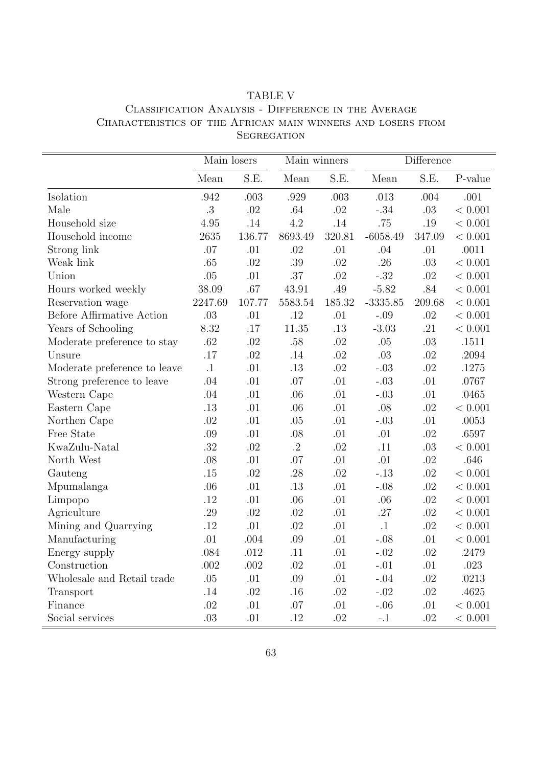#### <span id="page-63-0"></span>TABLE V Classification Analysis - Difference in the Average Characteristics of the African main winners and losers from **SEGREGATION**

|                              | Main losers |         |           | Main winners |            | Difference |         |  |
|------------------------------|-------------|---------|-----------|--------------|------------|------------|---------|--|
|                              | Mean        | S.E.    | Mean      | S.E.         | Mean       | S.E.       | P-value |  |
| Isolation                    | .942        | .003    | .929      | .003         | .013       | .004       | .001    |  |
| Male                         | .3          | .02     | .64       | .02          | $-.34$     | .03        | < 0.001 |  |
| Household size               | 4.95        | .14     | 4.2       | .14          | .75        | $.19\,$    | < 0.001 |  |
| Household income             | 2635        | 136.77  | 8693.49   | 320.81       | $-6058.49$ | 347.09     | < 0.001 |  |
| Strong link                  | .07         | .01     | .02       | .01          | .04        | .01        | .0011   |  |
| Weak link                    | .65         | .02     | .39       | .02          | .26        | .03        | < 0.001 |  |
| Union                        | .05         | .01     | $.37\,$   | .02          | $-.32$     | .02        | < 0.001 |  |
| Hours worked weekly          | $38.09\,$   | .67     | 43.91     | .49          | $-5.82$    | .84        | < 0.001 |  |
| Reservation wage             | 2247.69     | 107.77  | 5583.54   | 185.32       | $-3335.85$ | 209.68     | < 0.001 |  |
| Before Affirmative Action    | $.03\,$     | .01     | .12       | .01          | $-.09$     | .02        | < 0.001 |  |
| Years of Schooling           | 8.32        | .17     | 11.35     | .13          | $-3.03$    | .21        | < 0.001 |  |
| Moderate preference to stay  | $.62\,$     | .02     | .58       | .02          | $.05\,$    | .03        | .1511   |  |
| Unsure                       | .17         | .02     | $.14\,$   | .02          | .03        | $.02\,$    | .2094   |  |
| Moderate preference to leave | $\cdot$ 1   | .01     | .13       | .02          | $-.03$     | .02        | .1275   |  |
| Strong preference to leave   | .04         | .01     | .07       | .01          | $-.03$     | .01        | .0767   |  |
| Western Cape                 | .04         | .01     | .06       | .01          | $-.03$     | .01        | .0465   |  |
| Eastern Cape                 | .13         | .01     | .06       | .01          | $.08$      | .02        | < 0.001 |  |
| Northen Cape                 | .02         | .01     | .05       | .01          | $-.03$     | .01        | .0053   |  |
| Free State                   | .09         | .01     | .08       | .01          | .01        | .02        | .6597   |  |
| KwaZulu-Natal                | $.32\,$     | .02     | $\cdot$ 2 | $.02\,$      | .11        | $.03\,$    | < 0.001 |  |
| North West                   | .08         | .01     | .07       | .01          | .01        | .02        | .646    |  |
| Gauteng                      | .15         | .02     | .28       | .02          | $-.13$     | .02        | < 0.001 |  |
| Mpumalanga                   | .06         | .01     | $.13\,$   | .01          | $-.08$     | .02        | < 0.001 |  |
| Limpopo                      | .12         | .01     | .06       | .01          | .06        | .02        | < 0.001 |  |
| Agriculture                  | .29         | .02     | $.02\,$   | $.01\,$      | .27        | $.02\,$    | < 0.001 |  |
| Mining and Quarrying         | .12         | .01     | .02       | .01          | $\cdot$ 1  | .02        | < 0.001 |  |
| Manufacturing                | .01         | .004    | .09       | .01          | $-.08$     | .01        | < 0.001 |  |
| Energy supply                | .084        | .012    | .11       | .01          | $-.02$     | .02        | .2479   |  |
| Construction                 | .002        | .002    | .02       | .01          | $-.01$     | .01        | .023    |  |
| Wholesale and Retail trade   | .05         | $.01\,$ | .09       | .01          | $-.04$     | .02        | .0213   |  |
| Transport                    | .14         | .02     | .16       | .02          | $-.02$     | .02        | .4625   |  |
| Finance                      | .02         | .01     | .07       | .01          | $-.06$     | .01        | < 0.001 |  |
| Social services              | .03         | .01     | .12       | $.02\,$      | $-.1$      | .02        | < 0.001 |  |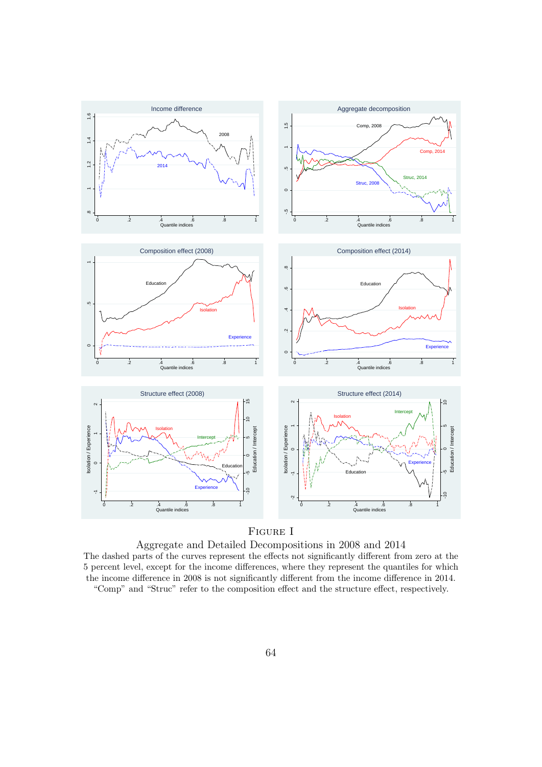<span id="page-64-0"></span>

#### Figure I

Aggregate and Detailed Decompositions in 2008 and 2014 The dashed parts of the curves represent the effects not significantly different from zero at the 5 percent level, except for the income differences, where they represent the quantiles for which the income difference in 2008 is not significantly different from the income difference in 2014. "Comp" and "Struc" refer to the composition effect and the structure effect, respectively.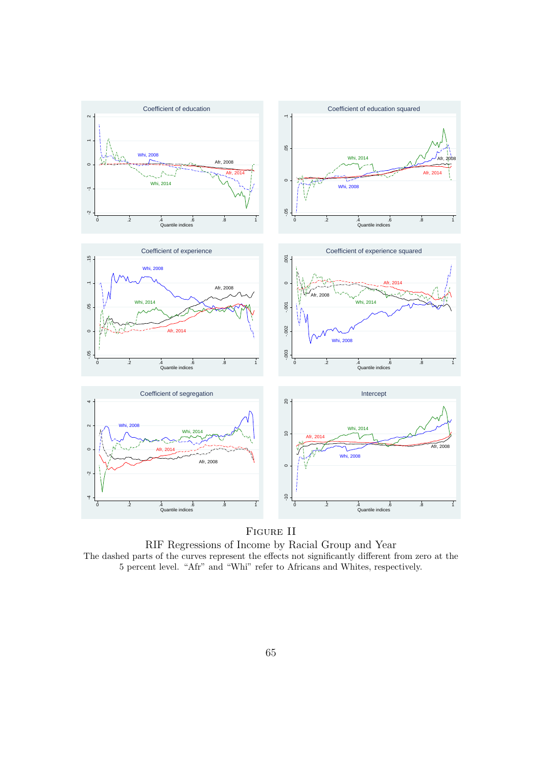<span id="page-65-0"></span>

FIGURE II

RIF Regressions of Income by Racial Group and Year The dashed parts of the curves represent the effects not significantly different from zero at the 5 percent level. "Afr" and "Whi" refer to Africans and Whites, respectively.